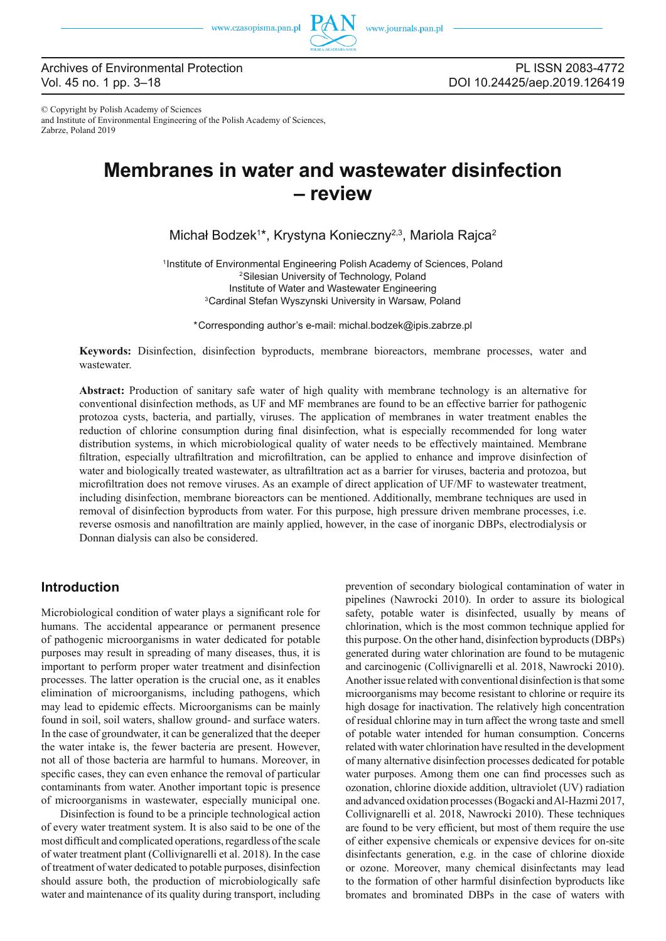

PL ISSN 2083-4772 DOI 10.24425/aep.2019.126419

© Copyright by Polish Academy of Sciences and Institute of Environmental Engineering of the Polish Academy of Sciences, Zabrze, Poland 2019

# **Membranes in water and wastewater disinfection – review**

Michał Bodzek<sup>1\*</sup>, Krystyna Konieczny<sup>2,3</sup>, Mariola Rajca<sup>2</sup>

1Institute of Environmental Engineering Polish Academy of Sciences, Poland 2Silesian University of Technology, Poland Institute of Water and Wastewater Engineering 3Cardinal Stefan Wyszynski University in Warsaw, Poland

\*Corresponding author's e-mail: michal.bodzek@ipis.zabrze.pl

**Keywords:** Disinfection, disinfection byproducts, membrane bioreactors, membrane processes, water and wastewater.

**Abstract:** Production of sanitary safe water of high quality with membrane technology is an alternative for conventional disinfection methods, as UF and MF membranes are found to be an effective barrier for pathogenic protozoa cysts, bacteria, and partially, viruses. The application of membranes in water treatment enables the reduction of chlorine consumption during final disinfection, what is especially recommended for long water distribution systems, in which microbiological quality of water needs to be effectively maintained. Membrane filtration, especially ultrafiltration and microfiltration, can be applied to enhance and improve disinfection of water and biologically treated wastewater, as ultrafiltration act as a barrier for viruses, bacteria and protozoa, but microfiltration does not remove viruses. As an example of direct application of UF/MF to wastewater treatment, including disinfection, membrane bioreactors can be mentioned. Additionally, membrane techniques are used in removal of disinfection byproducts from water. For this purpose, high pressure driven membrane processes, i.e. reverse osmosis and nanofiltration are mainly applied, however, in the case of inorganic DBPs, electrodialysis or Donnan dialysis can also be considered.

# **Introduction**

Microbiological condition of water plays a significant role for humans. The accidental appearance or permanent presence of pathogenic microorganisms in water dedicated for potable purposes may result in spreading of many diseases, thus, it is important to perform proper water treatment and disinfection processes. The latter operation is the crucial one, as it enables elimination of microorganisms, including pathogens, which may lead to epidemic effects. Microorganisms can be mainly found in soil, soil waters, shallow ground- and surface waters. In the case of groundwater, it can be generalized that the deeper the water intake is, the fewer bacteria are present. However, not all of those bacteria are harmful to humans. Moreover, in specific cases, they can even enhance the removal of particular contaminants from water. Another important topic is presence of microorganisms in wastewater, especially municipal one.

Disinfection is found to be a principle technological action of every water treatment system. It is also said to be one of the most difficult and complicated operations, regardless of the scale of water treatment plant (Collivignarelli et al. 2018). In the case of treatment of water dedicated to potable purposes, disinfection should assure both, the production of microbiologically safe water and maintenance of its quality during transport, including prevention of secondary biological contamination of water in pipelines (Nawrocki 2010). In order to assure its biological safety, potable water is disinfected, usually by means of chlorination, which is the most common technique applied for this purpose. On the other hand, disinfection byproducts (DBPs) generated during water chlorination are found to be mutagenic and carcinogenic (Collivignarelli et al. 2018, Nawrocki 2010). Another issue related with conventional disinfection is that some microorganisms may become resistant to chlorine or require its high dosage for inactivation. The relatively high concentration of residual chlorine may in turn affect the wrong taste and smell of potable water intended for human consumption. Concerns related with water chlorination have resulted in the development of many alternative disinfection processes dedicated for potable water purposes. Among them one can find processes such as ozonation, chlorine dioxide addition, ultraviolet (UV) radiation and advanced oxidation processes (Bogacki and Al-Hazmi 2017, Collivignarelli et al. 2018, Nawrocki 2010). These techniques are found to be very efficient, but most of them require the use of either expensive chemicals or expensive devices for on-site disinfectants generation, e.g. in the case of chlorine dioxide or ozone. Moreover, many chemical disinfectants may lead to the formation of other harmful disinfection byproducts like bromates and brominated DBPs in the case of waters with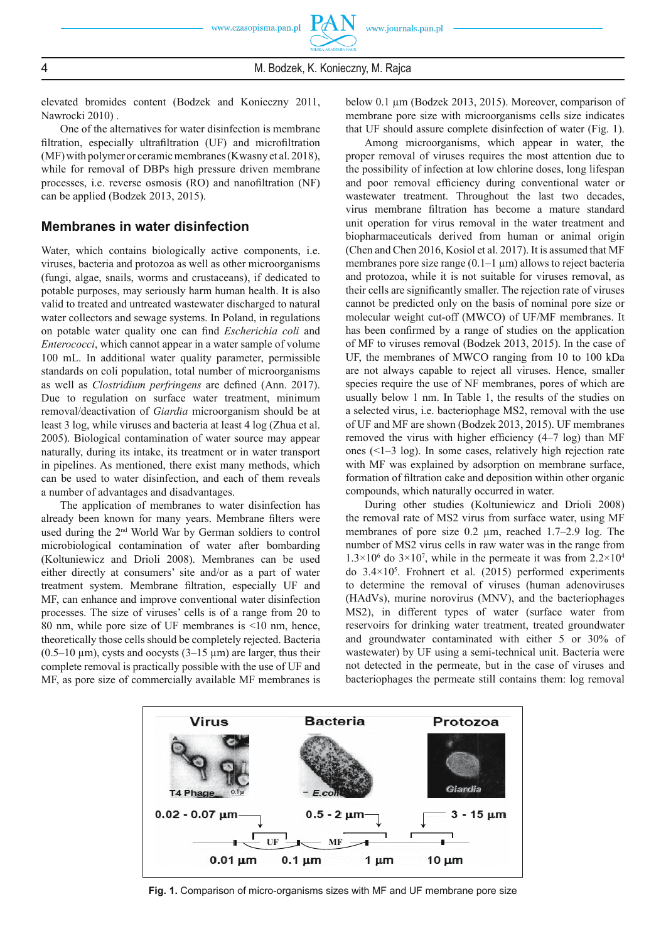elevated bromides content (Bodzek and Konieczny 2011, Nawrocki 2010) .

One of the alternatives for water disinfection is membrane filtration, especially ultrafiltration (UF) and microfiltration (MF) with polymer or ceramic membranes (Kwasny et al. 2018), while for removal of DBPs high pressure driven membrane processes, i.e. reverse osmosis (RO) and nanofiltration (NF) can be applied (Bodzek 2013, 2015).

#### **Membranes in water disinfection**

Water, which contains biologically active components, i.e. viruses, bacteria and protozoa as well as other microorganisms (fungi, algae, snails, worms and crustaceans), if dedicated to potable purposes, may seriously harm human health. It is also valid to treated and untreated wastewater discharged to natural water collectors and sewage systems. In Poland, in regulations on potable water quality one can find *Escherichia coli* and *Enterococci*, which cannot appear in a water sample of volume 100 mL. In additional water quality parameter, permissible standards on coli population, total number of microorganisms as well as *Clostridium perfringens* are defined (Ann. 2017). Due to regulation on surface water treatment, minimum removal/deactivation of *Giardia* microorganism should be at least 3 log, while viruses and bacteria at least 4 log (Zhua et al. 2005). Biological contamination of water source may appear naturally, during its intake, its treatment or in water transport in pipelines. As mentioned, there exist many methods, which can be used to water disinfection, and each of them reveals a number of advantages and disadvantages.

The application of membranes to water disinfection has already been known for many years. Membrane filters were used during the 2nd World War by German soldiers to control microbiological contamination of water after bombarding (Koltuniewicz and Drioli 2008). Membranes can be used either directly at consumers' site and/or as a part of water treatment system. Membrane filtration, especially UF and MF, can enhance and improve conventional water disinfection processes. The size of viruses' cells is of a range from 20 to 80 nm, while pore size of UF membranes is <10 nm, hence, theoretically those cells should be completely rejected. Bacteria  $(0.5-10 \,\mu m)$ , cysts and oocysts  $(3-15 \,\mu m)$  are larger, thus their complete removal is practically possible with the use of UF and MF, as pore size of commercially available MF membranes is

below 0.1 μm (Bodzek 2013, 2015). Moreover, comparison of membrane pore size with microorganisms cells size indicates that UF should assure complete disinfection of water (Fig. 1).

Among microorganisms, which appear in water, the proper removal of viruses requires the most attention due to the possibility of infection at low chlorine doses, long lifespan and poor removal efficiency during conventional water or wastewater treatment. Throughout the last two decades, virus membrane filtration has become a mature standard unit operation for virus removal in the water treatment and biopharmaceuticals derived from human or animal origin (Chen and Chen 2016, Kosiol et al. 2017). It is assumed that MF membranes pore size range  $(0.1-1 \mu m)$  allows to reject bacteria and protozoa, while it is not suitable for viruses removal, as their cells are significantly smaller. The rejection rate of viruses cannot be predicted only on the basis of nominal pore size or molecular weight cut-off (MWCO) of UF/MF membranes. It has been confirmed by a range of studies on the application of MF to viruses removal (Bodzek 2013, 2015). In the case of UF, the membranes of MWCO ranging from 10 to 100 kDa are not always capable to reject all viruses. Hence, smaller species require the use of NF membranes, pores of which are usually below 1 nm. In Table 1, the results of the studies on a selected virus, i.e. bacteriophage MS2, removal with the use of UF and MF are shown (Bodzek 2013, 2015). UF membranes removed the virus with higher efficiency  $(4-7 \log)$  than MF ones (<1–3 log). In some cases, relatively high rejection rate with MF was explained by adsorption on membrane surface, formation of filtration cake and deposition within other organic compounds, which naturally occurred in water.

During other studies (Koltuniewicz and Drioli 2008) the removal rate of MS2 virus from surface water, using MF membranes of pore size 0.2 μm, reached 1.7–2.9 log. The number of MS2 virus cells in raw water was in the range from  $1.3 \times 10^6$  do  $3 \times 10^7$ , while in the permeate it was from  $2.2 \times 10^4$ do 3.4×105 . Frohnert et al. (2015) performed experiments to determine the removal of viruses (human adenoviruses (HAdVs), murine norovirus (MNV), and the bacteriophages MS2), in different types of water (surface water from reservoirs for drinking water treatment, treated groundwater and groundwater contaminated with either 5 or 30% of wastewater) by UF using a semi-technical unit. Bacteria were not detected in the permeate, but in the case of viruses and bacteriophages the permeate still contains them: log removal



**Fig. 1.** Comparison of micro-organisms sizes with MF and UF membrane pore size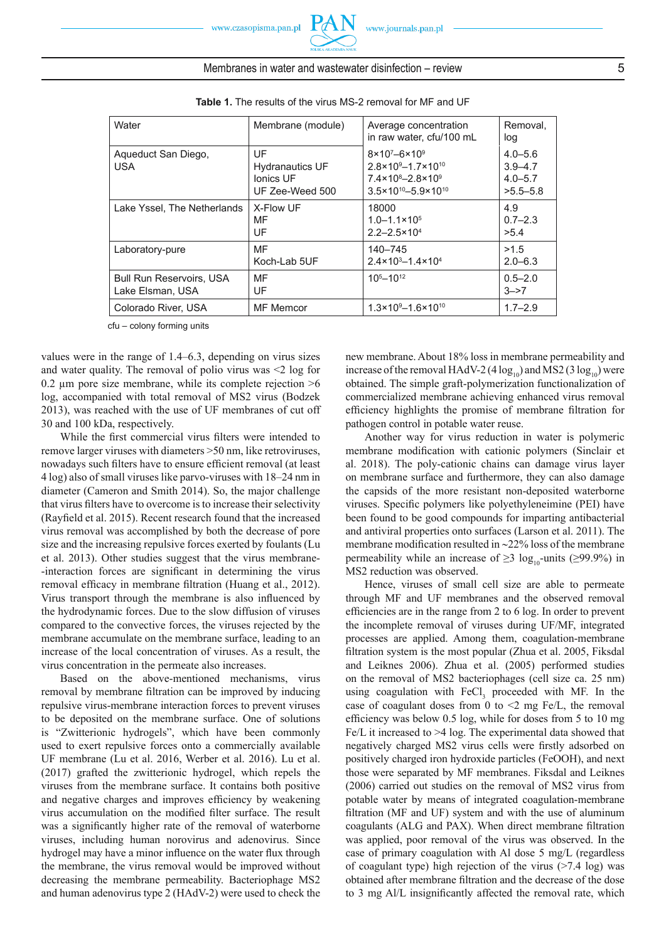| <b>Table 1.</b> The results of the virus MS-2 removal for MF and UF |                                                              |                                                                                                                                                                     |                                                           |  |  |  |
|---------------------------------------------------------------------|--------------------------------------------------------------|---------------------------------------------------------------------------------------------------------------------------------------------------------------------|-----------------------------------------------------------|--|--|--|
| Water                                                               | Membrane (module)                                            | Average concentration<br>in raw water, cfu/100 mL                                                                                                                   | Removal,<br>log                                           |  |  |  |
| Aqueduct San Diego,<br><b>USA</b>                                   | UF<br><b>Hydranautics UF</b><br>Ionics UF<br>UF Zee-Weed 500 | $8 \times 10^{7} - 6 \times 10^{9}$<br>$2.8 \times 10^{9} - 1.7 \times 10^{10}$<br>$7.4 \times 10^8 - 2.8 \times 10^9$<br>$3.5 \times 10^{10} - 5.9 \times 10^{10}$ | $4.0 - 5.6$<br>$3.9 - 4.7$<br>$4.0 - 5.7$<br>$>5.5 - 5.8$ |  |  |  |
| Lake Yssel, The Netherlands                                         | X-Flow UF<br>MF<br>UF                                        | 18000<br>$1.0 - 1.1 \times 10^{5}$<br>$2.2 - 2.5 \times 10^{4}$                                                                                                     | 4.9<br>$0.7 - 2.3$<br>>5.4                                |  |  |  |
| Laboratory-pure                                                     | MF<br>Koch-Lab 5UF                                           | 140-745<br>$2.4 \times 10^{3} - 1.4 \times 10^{4}$                                                                                                                  | >1.5<br>$2.0 - 6.3$                                       |  |  |  |
| <b>Bull Run Reservoirs, USA</b><br>Lake Elsman, USA                 | MF<br>UF                                                     | $105 - 1012$                                                                                                                                                        | $0.5 - 2.0$<br>$3 - > 7$                                  |  |  |  |
| Colorado River, USA                                                 | <b>MF</b> Memcor                                             | $1.3 \times 10^{9} - 1.6 \times 10^{10}$                                                                                                                            | $1.7 - 2.9$                                               |  |  |  |

cfu – colony forming units

values were in the range of 1.4–6.3, depending on virus sizes and water quality. The removal of polio virus was <2 log for 0.2  $\mu$ m pore size membrane, while its complete rejection  $>6$ log, accompanied with total removal of MS2 virus (Bodzek 2013), was reached with the use of UF membranes of cut off 30 and 100 kDa, respectively.

While the first commercial virus filters were intended to remove larger viruses with diameters >50 nm, like retroviruses, nowadays such filters have to ensure efficient removal (at least 4 log) also of small viruses like parvo-viruses with 18–24 nm in diameter (Cameron and Smith 2014). So, the major challenge that virus filters have to overcome is to increase their selectivity (Rayfield et al. 2015). Recent research found that the increased virus removal was accomplished by both the decrease of pore size and the increasing repulsive forces exerted by foulants (Lu et al. 2013). Other studies suggest that the virus membrane- -interaction forces are significant in determining the virus removal efficacy in membrane filtration (Huang et al., 2012). Virus transport through the membrane is also influenced by the hydrodynamic forces. Due to the slow diffusion of viruses compared to the convective forces, the viruses rejected by the membrane accumulate on the membrane surface, leading to an increase of the local concentration of viruses. As a result, the virus concentration in the permeate also increases.

Based on the above-mentioned mechanisms, virus removal by membrane filtration can be improved by inducing repulsive virus-membrane interaction forces to prevent viruses to be deposited on the membrane surface. One of solutions is "Zwitterionic hydrogels", which have been commonly used to exert repulsive forces onto a commercially available UF membrane (Lu et al. 2016, Werber et al. 2016). Lu et al. (2017) grafted the zwitterionic hydrogel, which repels the viruses from the membrane surface. It contains both positive and negative charges and improves efficiency by weakening virus accumulation on the modified filter surface. The result was a significantly higher rate of the removal of waterborne viruses, including human norovirus and adenovirus. Since hydrogel may have a minor influence on the water flux through the membrane, the virus removal would be improved without decreasing the membrane permeability. Bacteriophage MS2 and human adenovirus type 2 (HAdV-2) were used to check the

new membrane. About 18% loss in membrane permeability and increase of the removal HAdV-2 (4  $log_{10}$ ) and MS2 (3  $log_{10}$ ) were obtained. The simple graft-polymerization functionalization of commercialized membrane achieving enhanced virus removal efficiency highlights the promise of membrane filtration for pathogen control in potable water reuse.

Another way for virus reduction in water is polymeric membrane modification with cationic polymers (Sinclair et al. 2018). The poly-cationic chains can damage virus layer on membrane surface and furthermore, they can also damage the capsids of the more resistant non-deposited waterborne viruses. Specific polymers like polyethyleneimine (PEI) have been found to be good compounds for imparting antibacterial and antiviral properties onto surfaces (Larson et al. 2011). The membrane modification resulted in  $\sim$  22% loss of the membrane permeability while an increase of  $\geq$ 3 log<sub>10</sub>-units ( $\geq$ 99.9%) in MS2 reduction was observed.

Hence, viruses of small cell size are able to permeate through MF and UF membranes and the observed removal efficiencies are in the range from 2 to 6 log. In order to prevent the incomplete removal of viruses during UF/MF, integrated processes are applied. Among them, coagulation-membrane filtration system is the most popular (Zhua et al. 2005, Fiksdal and Leiknes 2006). Zhua et al. (2005) performed studies on the removal of MS2 bacteriophages (cell size ca. 25 nm) using coagulation with  $\text{FeCl}_3$  proceeded with MF. In the case of coagulant doses from 0 to  $\leq$  mg Fe/L, the removal efficiency was below  $0.5 \log$ , while for doses from  $5 \text{ to } 10 \text{ mg}$ Fe/L it increased to >4 log. The experimental data showed that negatively charged MS2 virus cells were firstly adsorbed on positively charged iron hydroxide particles (FeOOH), and next those were separated by MF membranes. Fiksdal and Leiknes (2006) carried out studies on the removal of MS2 virus from potable water by means of integrated coagulation-membrane filtration (MF and UF) system and with the use of aluminum coagulants (ALG and PAX). When direct membrane filtration was applied, poor removal of the virus was observed. In the case of primary coagulation with Al dose 5 mg/L (regardless of coagulant type) high rejection of the virus  $($ >7.4 log) was obtained after membrane filtration and the decrease of the dose to 3 mg Al/L insignificantly affected the removal rate, which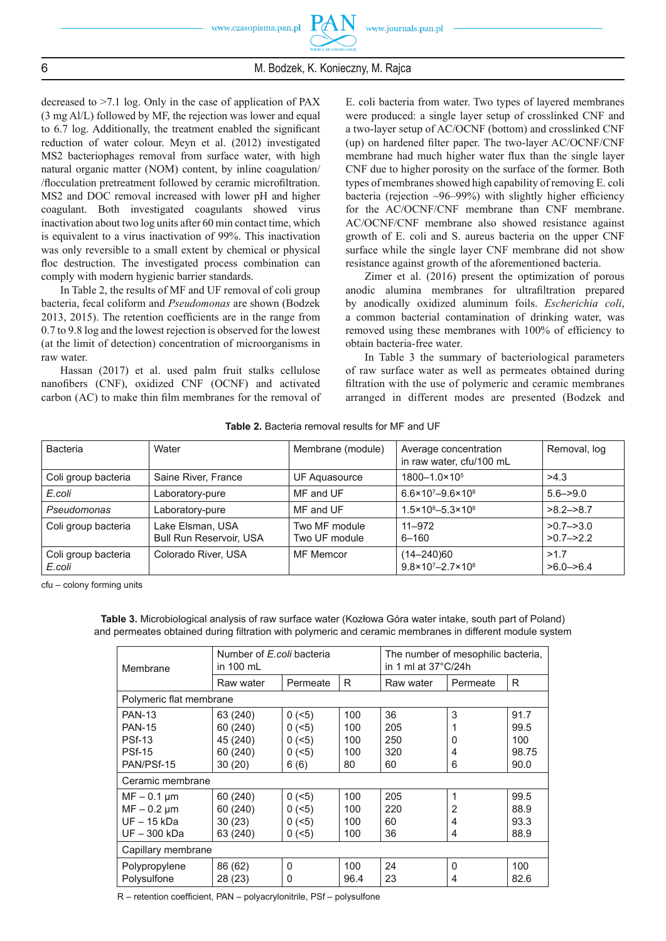

decreased to >7.1 log. Only in the case of application of PAX (3 mg Al/L) followed by MF, the rejection was lower and equal to  $6.7$  log. Additionally, the treatment enabled the significant reduction of water colour. Meyn et al. (2012) investigated MS2 bacteriophages removal from surface water, with high natural organic matter (NOM) content, by inline coagulation/ /flocculation pretreatment followed by ceramic microfiltration. MS2 and DOC removal increased with lower pH and higher coagulant. Both investigated coagulants showed virus inactivation about two log units after 60 min contact time, which is equivalent to a virus inactivation of 99%. This inactivation was only reversible to a small extent by chemical or physical floc destruction. The investigated process combination can comply with modern hygienic barrier standards.

In Table 2, the results of MF and UF removal of coli group bacteria, fecal coliform and *Pseudomonas* are shown (Bodzek  $2013$ ,  $2015$ ). The retention coefficients are in the range from 0.7 to 9.8 log and the lowest rejection is observed for the lowest (at the limit of detection) concentration of microorganisms in raw water.

Hassan (2017) et al. used palm fruit stalks cellulose nanofibers (CNF), oxidized CNF (OCNF) and activated carbon  $(AC)$  to make thin film membranes for the removal of E. coli bacteria from water. Two types of layered membranes were produced: a single layer setup of crosslinked CNF and a two-layer setup of AC/OCNF (bottom) and crosslinked CNF (up) on hardened filter paper. The two-layer AC/OCNF/CNF membrane had much higher water flux than the single layer CNF due to higher porosity on the surface of the former. Both types of membranes showed high capability of removing E. coli bacteria (rejection  $\sim$ 96–99%) with slightly higher efficiency for the AC/OCNF/CNF membrane than CNF membrane. AC/OCNF/CNF membrane also showed resistance against growth of E. coli and S. aureus bacteria on the upper CNF surface while the single layer CNF membrane did not show resistance against growth of the aforementioned bacteria.

Zimer et al. (2016) present the optimization of porous anodic alumina membranes for ultrafiltration prepared by anodically oxidized aluminum foils. *Escherichia coli*, a common bacterial contamination of drinking water, was removed using these membranes with 100% of efficiency to obtain bacteria-free water.

In Table 3 the summary of bacteriological parameters of raw surface water as well as permeates obtained during filtration with the use of polymeric and ceramic membranes arranged in different modes are presented (Bodzek and

| Bacteria                      | Water                                              | Membrane (module)              | Average concentration<br>in raw water, cfu/100 mL     | Removal, log                 |
|-------------------------------|----------------------------------------------------|--------------------------------|-------------------------------------------------------|------------------------------|
| Coli group bacteria           | Saine River, France                                | UF Aguasource                  | $1800 - 1.0 \times 10^5$                              | >4.3                         |
| E.coli                        | Laboratory-pure                                    | MF and UF                      | $6.6 \times 10^{7} - 9.6 \times 10^{8}$               | $5.6 - > 9.0$                |
| Pseudomonas                   | Laboratory-pure                                    | MF and UF                      | $1.5 \times 10^{8} - 5.3 \times 10^{8}$               | $>8.2 - 8.7$                 |
| Coli group bacteria           | Lake Elsman, USA<br><b>Bull Run Reservoir, USA</b> | Two MF module<br>Two UF module | 11-972<br>$6 - 160$                                   | $>0.7 - 3.0$<br>$>0.7 - 2.2$ |
| Coli group bacteria<br>E.coli | Colorado River, USA                                | MF Memcor                      | (14-240)60<br>$9.8 \times 10^{7} - 2.7 \times 10^{8}$ | >1.7<br>$>6.0 - 6.4$         |

**Table 2.** Bacteria removal results for MF and UF

cfu – colony forming units

**Table 3.** Microbiological analysis of raw surface water (Kozłowa Góra water intake, south part of Poland) and permeates obtained during filtration with polymeric and ceramic membranes in different module system

| Membrane                | Number of E.coli bacteria<br>in 100 mL |             | The number of mesophilic bacteria,<br>in 1 ml at $37^{\circ}$ C/24h |           |                |       |
|-------------------------|----------------------------------------|-------------|---------------------------------------------------------------------|-----------|----------------|-------|
|                         | Raw water                              | Permeate    | R                                                                   | Raw water | Permeate       | R     |
| Polymeric flat membrane |                                        |             |                                                                     |           |                |       |
| <b>PAN-13</b>           | 63 (240)                               | $0$ ( $5$ ) | 100                                                                 | 36        | 3              | 91.7  |
| <b>PAN-15</b>           | 60 (240)                               | 0 (< 5)     | 100                                                                 | 205       |                | 99.5  |
| <b>PSf-13</b>           | 45 (240)                               | 0 (< 5)     | 100                                                                 | 250       | 0              | 100   |
| <b>PSf-15</b>           | 60 (240)                               | 0 (< 5)     | 100                                                                 | 320       | 4              | 98.75 |
| PAN/PSf-15              | 30(20)                                 | 6(6)        | 80                                                                  | 60        | 6              | 90.0  |
| Ceramic membrane        |                                        |             |                                                                     |           |                |       |
| $MF - 0.1 \mu m$        | 60 (240)                               | $0$ ( $5$ ) | 100                                                                 | 205       | 1              | 99.5  |
| $MF - 0.2 \mu m$        | 60 (240)                               | $0$ ( $5$ ) | 100                                                                 | 220       | $\overline{2}$ | 88.9  |
| $UF - 15 kDa$           | 30(23)                                 | $0$ ( $5$ ) | 100                                                                 | 60        | 4              | 93.3  |
| UF-300 kDa              | 63 (240)                               | $0$ ( $5$ ) | 100                                                                 | 36        | 4              | 88.9  |
| Capillary membrane      |                                        |             |                                                                     |           |                |       |
| Polypropylene           | 86 (62)                                | $\Omega$    | 100                                                                 | 24        | 0              | 100   |
| Polysulfone             | 28 (23)                                | 0           | 96.4                                                                | 23        | 4              | 82.6  |

R – retention coefficient, PAN – polyacrylonitrile, PSf – polysulfone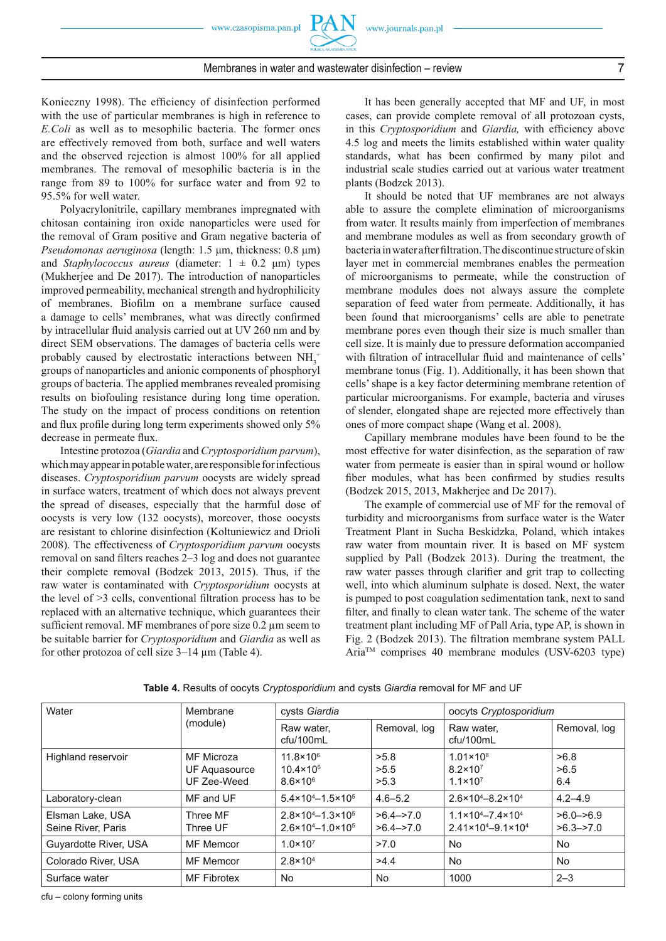

# Membranes in water and wastewater disinfection – review 7

Konieczny 1998). The efficiency of disinfection performed with the use of particular membranes is high in reference to *E.Coli* as well as to mesophilic bacteria. The former ones are effectively removed from both, surface and well waters and the observed rejection is almost 100% for all applied membranes. The removal of mesophilic bacteria is in the range from 89 to 100% for surface water and from 92 to 95.5% for well water.

Polyacrylonitrile, capillary membranes impregnated with chitosan containing iron oxide nanoparticles were used for the removal of Gram positive and Gram negative bacteria of *Pseudomonas aeruginosa* (length: 1.5 μm, thickness: 0.8 μm) and *Staphylococcus aureus* (diameter:  $1 \pm 0.2$  µm) types (Mukherjee and De 2017). The introduction of nanoparticles improved permeability, mechanical strength and hydrophilicity of membranes. Biofilm on a membrane surface caused a damage to cells' membranes, what was directly confirmed by intracellular fluid analysis carried out at UV 260 nm and by direct SEM observations. The damages of bacteria cells were probably caused by electrostatic interactions between  $NH_3^+$ groups of nanoparticles and anionic components of phosphoryl groups of bacteria. The applied membranes revealed promising results on biofouling resistance during long time operation. The study on the impact of process conditions on retention and flux profile during long term experiments showed only 5% decrease in permeate flux.

Intestine protozoa (*Giardia* and *Cryptosporidium parvum*), which may appear in potable water, are responsible for infectious diseases. *Cryptosporidium parvum* oocysts are widely spread in surface waters, treatment of which does not always prevent the spread of diseases, especially that the harmful dose of oocysts is very low (132 oocysts), moreover, those oocysts are resistant to chlorine disinfection (Koltuniewicz and Drioli 2008). The effectiveness of *Cryptosporidium parvum* oocysts removal on sand filters reaches 2–3 log and does not guarantee their complete removal (Bodzek 2013, 2015). Thus, if the raw water is contaminated with *Cryptosporidium* oocysts at the level of  $\geq$ 3 cells, conventional filtration process has to be replaced with an alternative technique, which guarantees their sufficient removal. MF membranes of pore size 0.2 μm seem to be suitable barrier for *Cryptosporidium* and *Giardia* as well as for other protozoa of cell size 3–14 μm (Table 4).

It has been generally accepted that MF and UF, in most cases, can provide complete removal of all protozoan cysts, in this *Cryptosporidium* and *Giardia*, with efficiency above 4.5 log and meets the limits established within water quality standards, what has been confirmed by many pilot and industrial scale studies carried out at various water treatment plants (Bodzek 2013).

It should be noted that UF membranes are not always able to assure the complete elimination of microorganisms from water. It results mainly from imperfection of membranes and membrane modules as well as from secondary growth of bacteria in water after filtration. The discontinue structure of skin layer met in commercial membranes enables the permeation of microorganisms to permeate, while the construction of membrane modules does not always assure the complete separation of feed water from permeate. Additionally, it has been found that microorganisms' cells are able to penetrate membrane pores even though their size is much smaller than cell size. It is mainly due to pressure deformation accompanied with filtration of intracellular fluid and maintenance of cells' membrane tonus (Fig. 1). Additionally, it has been shown that cells' shape is a key factor determining membrane retention of particular microorganisms. For example, bacteria and viruses of slender, elongated shape are rejected more effectively than ones of more compact shape (Wang et al. 2008).

Capillary membrane modules have been found to be the most effective for water disinfection, as the separation of raw water from permeate is easier than in spiral wound or hollow fiber modules, what has been confirmed by studies results (Bodzek 2015, 2013, Makherjee and De 2017).

The example of commercial use of MF for the removal of turbidity and microorganisms from surface water is the Water Treatment Plant in Sucha Beskidzka, Poland, which intakes raw water from mountain river. It is based on MF system supplied by Pall (Bodzek 2013). During the treatment, the raw water passes through clarifier and grit trap to collecting well, into which aluminum sulphate is dosed. Next, the water is pumped to post coagulation sedimentation tank, next to sand filter, and finally to clean water tank. The scheme of the water treatment plant including MF of Pall Aria, type AP, is shown in Fig. 2 (Bodzek 2013). The filtration membrane system PALL AriaTM comprises 40 membrane modules (USV-6203 type)

| Water                                  | Membrane                                   | cysts Giardia                                                                      |                                                  | oocyts Cryptosporidium                                                              |                                 |
|----------------------------------------|--------------------------------------------|------------------------------------------------------------------------------------|--------------------------------------------------|-------------------------------------------------------------------------------------|---------------------------------|
|                                        | (module)                                   | Raw water.<br>cfu/100mL                                                            | Removal, log                                     | Raw water.<br>cfu/100mL                                                             | Removal, log                    |
| Highland reservoir                     | MF Microza<br>UF Aquasource<br>UF Zee-Weed | $11.8 \times 10^{6}$<br>$10.4 \times 10^{6}$<br>$8.6 \times 10^{6}$                | >5.8<br>>5.5<br>>5.3                             | $1.01 \times 10^8$<br>$8.2 \times 10^7$<br>$1.1 \times 10^{7}$                      | >6.8<br>>6.5<br>6.4             |
| Laboratory-clean                       | MF and UF                                  | $5.4 \times 10^{4} - 1.5 \times 10^{5}$                                            | $4.6 - 5.2$                                      | $2.6 \times 10^{4} - 8.2 \times 10^{4}$                                             | $4.2 - 4.9$                     |
| Elsman Lake, USA<br>Seine River, Paris | Three MF<br>Three UF                       | $2.8 \times 10^{4} - 1.3 \times 10^{5}$<br>$2.6 \times 10^{4} - 1.0 \times 10^{5}$ | $>6.4 \rightarrow 7.0$<br>$>6.4 \rightarrow 7.0$ | $1.1 \times 10^{4} - 7.4 \times 10^{4}$<br>$2.41 \times 10^{4} - 9.1 \times 10^{4}$ | $>6.0 - 56.9$<br>$>6.3 - > 7.0$ |
| Guyardotte River, USA                  | <b>MF</b> Memcor                           | $1.0 \times 10^{7}$                                                                | >7.0                                             | <b>No</b>                                                                           | <b>No</b>                       |
| Colorado River, USA                    | <b>MF</b> Memcor                           | $2.8 \times 10^{4}$                                                                | >4.4                                             | <b>No</b>                                                                           | <b>No</b>                       |
| Surface water                          | <b>MF Fibrotex</b>                         | <b>No</b>                                                                          | <b>No</b>                                        | 1000                                                                                | $2 - 3$                         |

**Table 4.** Results of oocyts *Cryptosporidium* and cysts *Giardia* removal for MF and UF

cfu – colony forming units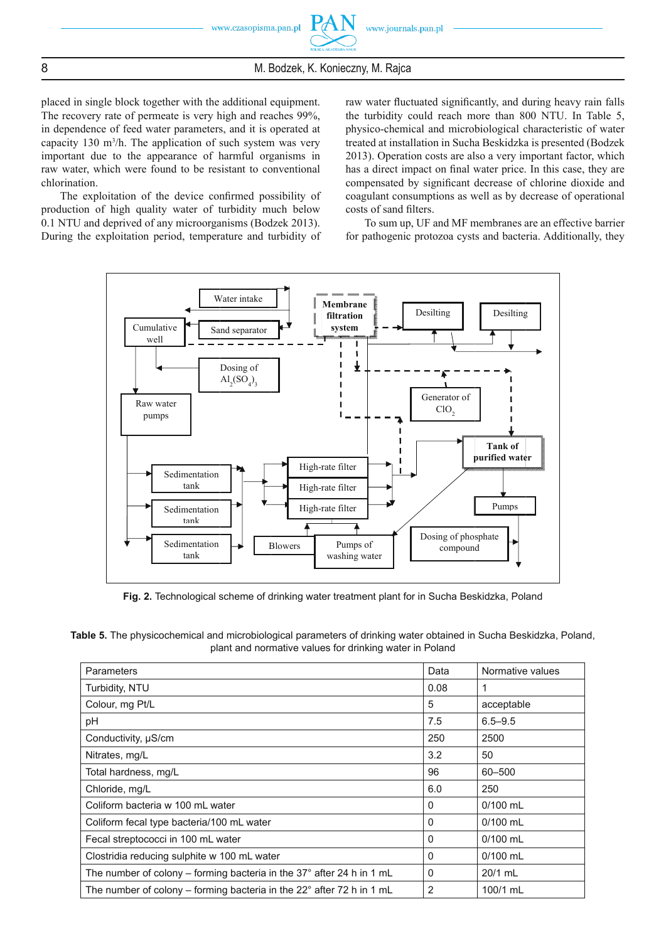placed in single block together with the additional equipment. The recovery rate of permeate is very high and reaches 99%, in dependence of feed water parameters, and it is operated at capacity 130  $\text{m}^3$ /h. The application of such system was very important due to the appearance of harmful organisms in raw water, which were found to be resistant to conventional chlorination.

The exploitation of the device confirmed possibility of production of high quality water of turbidity much below 0.1 NTU and deprived of any microorganisms (Bodzek 2013). During the exploitation period, temperature and turbidity of raw water fluctuated significantly, and during heavy rain falls the turbidity could reach more than 800 NTU. In Table 5, physico-chemical and microbiological characteristic of water treated at installation in Sucha Beskidzka is presented (Bodzek 2013). Operation costs are also a very important factor, which has a direct impact on final water price. In this case, they are compensated by significant decrease of chlorine dioxide and coagulant consumptions as well as by decrease of operational costs of sand filters.

To sum up, UF and MF membranes are an effective barrier for pathogenic protozoa cysts and bacteria. Additionally, they



**Fig. 2.** Technological scheme of drinking water treatment plant for in Sucha Beskidzka, Poland

**Table 5.** The physicochemical and microbiological parameters of drinking water obtained in Sucha Beskidzka, Poland, plant and normative values for drinking water in Poland

| <b>Parameters</b>                                                               | Data         | Normative values |
|---------------------------------------------------------------------------------|--------------|------------------|
| Turbidity, NTU                                                                  | 0.08         | 1                |
| Colour, mg Pt/L                                                                 | 5            | acceptable       |
| рH                                                                              | 7.5          | $6.5 - 9.5$      |
| Conductivity, µS/cm                                                             | 250          | 2500             |
| Nitrates, mg/L                                                                  | 3.2          | 50               |
| Total hardness, mg/L                                                            | 96           | 60-500           |
| Chloride, mg/L                                                                  | 6.0          | 250              |
| Coliform bacteria w 100 mL water                                                | $\Omega$     | $0/100$ mL       |
| Coliform fecal type bacteria/100 mL water                                       | 0            | $0/100$ mL       |
| Fecal streptococci in 100 mL water                                              | $\Omega$     | $0/100$ mL       |
| Clostridia reducing sulphite w 100 mL water                                     | $\Omega$     | $0/100$ mL       |
| The number of colony – forming bacteria in the 37 $^{\circ}$ after 24 h in 1 mL | $\mathbf{0}$ | 20/1 mL          |
| The number of colony – forming bacteria in the $22^{\circ}$ after 72 h in 1 mL  | 2            | 100/1 mL         |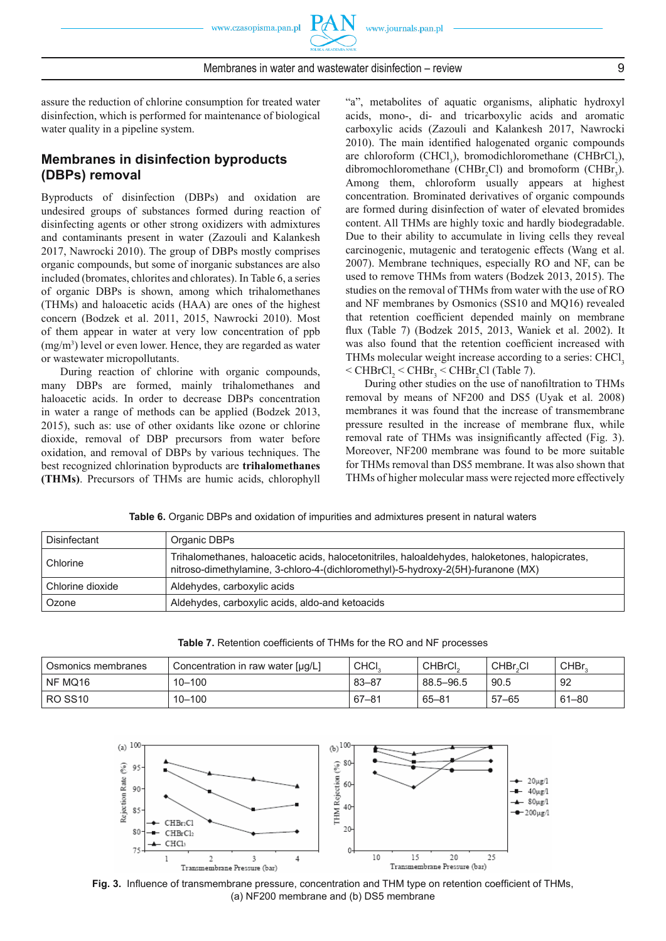

assure the reduction of chlorine consumption for treated water disinfection, which is performed for maintenance of biological water quality in a pipeline system.

# **Membranes in disinfection byproducts (DBPs) removal**

Byproducts of disinfection (DBPs) and oxidation are undesired groups of substances formed during reaction of disinfecting agents or other strong oxidizers with admixtures and contaminants present in water (Zazouli and Kalankesh 2017, Nawrocki 2010). The group of DBPs mostly comprises organic compounds, but some of inorganic substances are also included (bromates, chlorites and chlorates). In Table 6, a series of organic DBPs is shown, among which trihalomethanes (THMs) and haloacetic acids (HAA) are ones of the highest concern (Bodzek et al. 2011, 2015, Nawrocki 2010). Most of them appear in water at very low concentration of ppb (mg/m<sup>3</sup>) level or even lower. Hence, they are regarded as water or wastewater micropollutants.

During reaction of chlorine with organic compounds, many DBPs are formed, mainly trihalomethanes and haloacetic acids. In order to decrease DBPs concentration in water a range of methods can be applied (Bodzek 2013, 2015), such as: use of other oxidants like ozone or chlorine dioxide, removal of DBP precursors from water before oxidation, and removal of DBPs by various techniques. The best recognized chlorination byproducts are **trihalomethanes (THMs)**. Precursors of THMs are humic acids, chlorophyll "a", metabolites of aquatic organisms, aliphatic hydroxyl acids, mono-, di- and tricarboxylic acids and aromatic carboxylic acids (Zazouli and Kalankesh 2017, Nawrocki 2010). The main identified halogenated organic compounds are chloroform (CHCl<sub>3</sub>), bromodichloromethane (CHBrCl<sub>2</sub>), dibromochloromethane (CHBr<sub>2</sub>Cl) and bromoform (CHBr<sub>3</sub>). Among them, chloroform usually appears at highest concentration. Brominated derivatives of organic compounds are formed during disinfection of water of elevated bromides content. All THMs are highly toxic and hardly biodegradable. Due to their ability to accumulate in living cells they reveal carcinogenic, mutagenic and teratogenic effects (Wang et al. 2007). Membrane techniques, especially RO and NF, can be used to remove THMs from waters (Bodzek 2013, 2015). The studies on the removal of THMs from water with the use of RO and NF membranes by Osmonics (SS10 and MQ16) revealed that retention coefficient depended mainly on membrane flux (Table 7) (Bodzek 2015, 2013, Waniek et al. 2002). It was also found that the retention coefficient increased with THMs molecular weight increase according to a series: CHCl<sub>3</sub>  $\leq$  CHBrCl<sub>2</sub>  $\leq$  CHBr<sub>3</sub> $\leq$  CHBr<sub>2</sub>Cl (Table 7).

During other studies on the use of nanofiltration to THMs removal by means of NF200 and DS5 (Uyak et al. 2008) membranes it was found that the increase of transmembrane pressure resulted in the increase of membrane flux, while removal rate of THMs was insignificantly affected (Fig. 3). Moreover, NF200 membrane was found to be more suitable for THMs removal than DS5 membrane. It was also shown that THMs of higher molecular mass were rejected more effectively

**Table 6.** Organic DBPs and oxidation of impurities and admixtures present in natural waters

| Disinfectant     | Organic DBPs                                                                                                                                                                       |
|------------------|------------------------------------------------------------------------------------------------------------------------------------------------------------------------------------|
| Chlorine         | Trihalomethanes, haloacetic acids, halocetonitriles, haloaldehydes, haloketones, halopicrates,<br>nitroso-dimethylamine, 3-chloro-4-(dichloromethyl)-5-hydroxy-2(5H)-furanone (MX) |
| Chlorine dioxide | Aldehydes, carboxylic acids                                                                                                                                                        |
| Ozone            | Aldehydes, carboxylic acids, aldo-and ketoacids                                                                                                                                    |

| Osmonics membranes | Concentration in raw water [µg/L] | CHCI.     | CHBrCL    | CHBr.CI   | CHBr <sub>2</sub> |
|--------------------|-----------------------------------|-----------|-----------|-----------|-------------------|
| NF MQ16            | $10 - 100$                        | $83 - 87$ | 88.5-96.5 | 90.5      | 92                |
| RO SS10            | $10 - 100$                        | $67 - 81$ | $65 - 81$ | $57 - 65$ | $61 - 80$         |





Fig. 3. Influence of transmembrane pressure, concentration and THM type on retention coefficient of THMs, (a) NF200 membrane and (b) DS5 membrane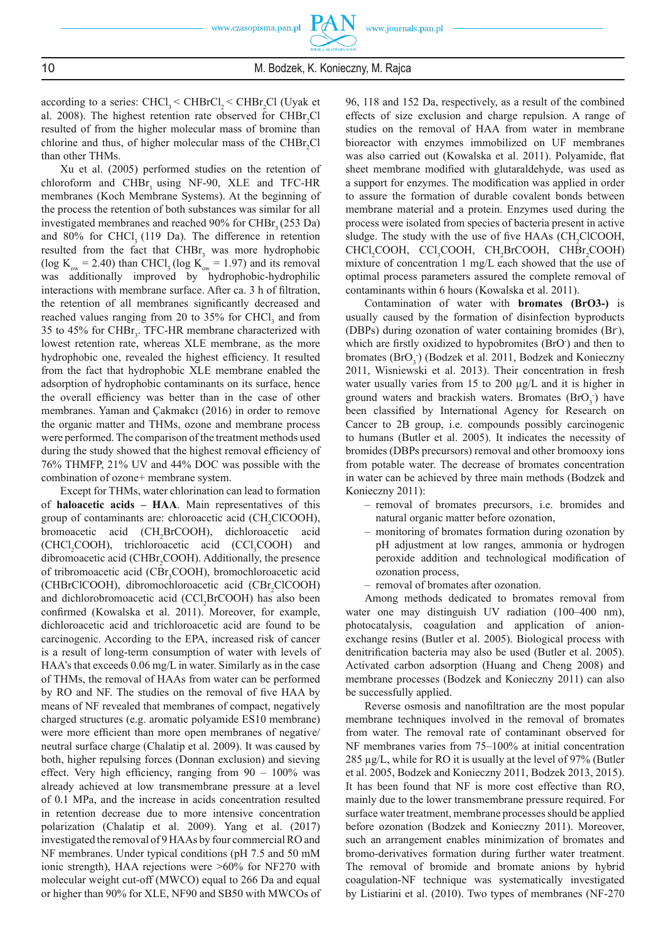according to a series:  $CHCl<sub>3</sub> < CHBrCl<sub>2</sub> < CHBr<sub>2</sub>Cl$  (Uyak et al. 2008). The highest retention rate observed for  $CHBr_2Cl$ resulted of from the higher molecular mass of bromine than chlorine and thus, of higher molecular mass of the CHB $r_2$ Cl than other THMs.

Xu et al. (2005) performed studies on the retention of chloroform and CHBr<sub>3</sub> using NF-90, XLE and TFC-HR membranes (Koch Membrane Systems). At the beginning of the process the retention of both substances was similar for all investigated membranes and reached  $90\%$  for CHBr<sub>3</sub> (253 Da) and 80% for CHCl<sub>3</sub> (119 Da). The difference in retention resulted from the fact that  $CHBr<sub>3</sub>$  was more hydrophobic (log  $K_{ow} = 2.40$ ) than CHCl<sub>3</sub> (log  $K_{ow} = 1.97$ ) and its removal was additionally improved by hydrophobic-hydrophilic interactions with membrane surface. After ca. 3 h of filtration, the retention of all membranes significantly decreased and reached values ranging from 20 to 35% for CHCl<sub>3</sub> and from 35 to 45% for CHB $r<sub>3</sub>$ . TFC-HR membrane characterized with lowest retention rate, whereas XLE membrane, as the more hydrophobic one, revealed the highest efficiency. It resulted from the fact that hydrophobic XLE membrane enabled the adsorption of hydrophobic contaminants on its surface, hence the overall efficiency was better than in the case of other membranes. Yaman and Çakmakcı (2016) in order to remove the organic matter and THMs, ozone and membrane process were performed. The comparison of the treatment methods used during the study showed that the highest removal efficiency of 76% THMFP, 21% UV and 44% DOC was possible with the combination of ozone+ membrane system.

Except for THMs, water chlorination can lead to formation of **haloacetic acids – HAA**. Main representatives of this group of contaminants are: chloroacetic acid  $(CH_2CICOOH)$ , bromoacetic acid (CH<sub>2</sub>BrCOOH), dichloroacetic acid  $(CHCl<sub>2</sub>COOH)$ , trichloroacetic acid  $(CCl<sub>3</sub>COOH)$  and dibromoacetic acid (CHBr<sub>2</sub>COOH). Additionally, the presence of tribromoacetic acid (CBr<sub>3</sub>COOH), bromochloroacetic acid (CHBrClCOOH), dibromochloroacetic acid (CBr<sub>2</sub>ClCOOH) and dichlorobromoacetic acid (CCl<sub>2</sub>BrCOOH) has also been confirmed (Kowalska et al. 2011). Moreover, for example, dichloroacetic acid and trichloroacetic acid are found to be carcinogenic. According to the EPA, increased risk of cancer is a result of long-term consumption of water with levels of HAA's that exceeds 0.06 mg/L in water. Similarly as in the case of THMs, the removal of HAAs from water can be performed by RO and NF. The studies on the removal of five HAA by means of NF revealed that membranes of compact, negatively charged structures (e.g. aromatic polyamide ES10 membrane) were more efficient than more open membranes of negative/ neutral surface charge (Chalatip et al. 2009). It was caused by both, higher repulsing forces (Donnan exclusion) and sieving effect. Very high efficiency, ranging from  $90 - 100\%$  was already achieved at low transmembrane pressure at a level of 0.1 MPa, and the increase in acids concentration resulted in retention decrease due to more intensive concentration polarization (Chalatip et al. 2009). Yang et al. (2017) investigated the removal of 9 HAAs by four commercial RO and NF membranes. Under typical conditions (pH 7.5 and 50 mM ionic strength), HAA rejections were >60% for NF270 with molecular weight cut-off (MWCO) equal to 266 Da and equal or higher than 90% for XLE, NF90 and SB50 with MWCOs of 96, 118 and 152 Da, respectively, as a result of the combined effects of size exclusion and charge repulsion. A range of studies on the removal of HAA from water in membrane bioreactor with enzymes immobilized on UF membranes was also carried out (Kowalska et al. 2011). Polyamide, flat sheet membrane modified with glutaraldehyde, was used as a support for enzymes. The modification was applied in order to assure the formation of durable covalent bonds between membrane material and a protein. Enzymes used during the process were isolated from species of bacteria present in active sludge. The study with the use of five HAAs (CH<sub>2</sub>ClCOOH, CHCl<sub>2</sub>COOH, CCl<sub>3</sub>COOH, CH<sub>2</sub>BrCOOH, CHBr<sub>2</sub>COOH) mixture of concentration 1 mg/L each showed that the use of optimal process parameters assured the complete removal of contaminants within 6 hours (Kowalska et al. 2011).

Contamination of water with **bromates (BrO3-)** is usually caused by the formation of disinfection byproducts (DBPs) during ozonation of water containing bromides (Br), which are firstly oxidized to hypobromites (BrO) and then to bromates (BrO<sub>3</sub>) (Bodzek et al. 2011, Bodzek and Konieczny 2011, Wisniewski et al. 2013). Their concentration in fresh water usually varies from 15 to 200 μg/L and it is higher in ground waters and brackish waters. Bromates  $(BrO<sub>3</sub>)$  have been classified by International Agency for Research on Cancer to 2B group, i.e. compounds possibly carcinogenic to humans (Butler et al. 2005). It indicates the necessity of bromides (DBPs precursors) removal and other bromooxy ions from potable water. The decrease of bromates concentration in water can be achieved by three main methods (Bodzek and Konieczny 2011):

- removal of bromates precursors, i.e. bromides and natural organic matter before ozonation,
- monitoring of bromates formation during ozonation by pH adjustment at low ranges, ammonia or hydrogen peroxide addition and technological modification of ozonation process,
- removal of bromates after ozonation.

Among methods dedicated to bromates removal from water one may distinguish UV radiation (100–400 nm), photocatalysis, coagulation and application of anionexchange resins (Butler et al. 2005). Biological process with denitrification bacteria may also be used (Butler et al. 2005). Activated carbon adsorption (Huang and Cheng 2008) and membrane processes (Bodzek and Konieczny 2011) can also be successfully applied.

Reverse osmosis and nanofiltration are the most popular membrane techniques involved in the removal of bromates from water. The removal rate of contaminant observed for NF membranes varies from 75–100% at initial concentration 285 μg/L, while for RO it is usually at the level of 97% (Butler et al. 2005, Bodzek and Konieczny 2011, Bodzek 2013, 2015). It has been found that NF is more cost effective than RO, mainly due to the lower transmembrane pressure required. For surface water treatment, membrane processes should be applied before ozonation (Bodzek and Konieczny 2011). Moreover, such an arrangement enables minimization of bromates and bromo-derivatives formation during further water treatment. The removal of bromide and bromate anions by hybrid coagulation-NF technique was systematically investigated by Listiarini et al. (2010). Two types of membranes (NF-270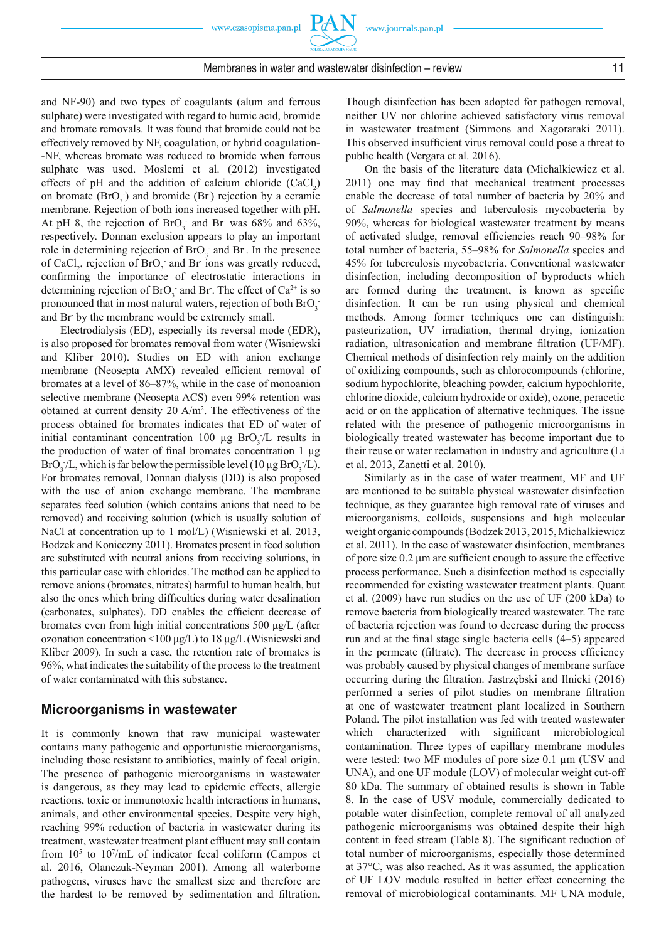and NF-90) and two types of coagulants (alum and ferrous sulphate) were investigated with regard to humic acid, bromide and bromate removals. It was found that bromide could not be effectively removed by NF, coagulation, or hybrid coagulation- -NF, whereas bromate was reduced to bromide when ferrous sulphate was used. Moslemi et al. (2012) investigated effects of pH and the addition of calcium chloride  $(CaCl_2)$ on bromate  $(BrO<sub>3</sub>)$  and bromide  $(Br)$  rejection by a ceramic membrane. Rejection of both ions increased together with pH. At pH 8, the rejection of  $BrO<sub>3</sub>$  and Br was 68% and 63%, respectively. Donnan exclusion appears to play an important role in determining rejection of  $BrO<sub>3</sub>$  and Br. In the presence of CaCl<sub>2</sub>, rejection of BrO<sub>3</sub> and Br ions was greatly reduced, confirming the importance of electrostatic interactions in determining rejection of  $BrO_3$  and Br. The effect of  $Ca^{2+}$  is so pronounced that in most natural waters, rejection of both  $BrO<sub>3</sub>$ and Br- by the membrane would be extremely small.

Electrodialysis (ED), especially its reversal mode (EDR), is also proposed for bromates removal from water (Wisniewski and Kliber 2010). Studies on ED with anion exchange membrane (Neosepta AMX) revealed efficient removal of bromates at a level of 86–87%, while in the case of monoanion selective membrane (Neosepta ACS) even 99% retention was obtained at current density 20 A/m2 . The effectiveness of the process obtained for bromates indicates that ED of water of initial contaminant concentration 100  $\mu$ g BrO<sub>3</sub>/L results in the production of water of final bromates concentration  $1 \mu$ g BrO<sub>3</sub>/L, which is far below the permissible level (10  $\mu$ g BrO<sub>3</sub>/L). For bromates removal, Donnan dialysis (DD) is also proposed with the use of anion exchange membrane. The membrane separates feed solution (which contains anions that need to be removed) and receiving solution (which is usually solution of NaCl at concentration up to 1 mol/L) (Wisniewski et al. 2013, Bodzek and Konieczny 2011). Bromates present in feed solution are substituted with neutral anions from receiving solutions, in this particular case with chlorides. The method can be applied to remove anions (bromates, nitrates) harmful to human health, but also the ones which bring difficulties during water desalination (carbonates, sulphates). DD enables the efficient decrease of bromates even from high initial concentrations 500 μg/L (after ozonation concentration <100 μg/L) to 18 μg/L (Wisniewski and Kliber 2009). In such a case, the retention rate of bromates is 96%, what indicates the suitability of the process to the treatment of water contaminated with this substance.

#### **Microorganisms in wastewater**

It is commonly known that raw municipal wastewater contains many pathogenic and opportunistic microorganisms, including those resistant to antibiotics, mainly of fecal origin. The presence of pathogenic microorganisms in wastewater is dangerous, as they may lead to epidemic effects, allergic reactions, toxic or immunotoxic health interactions in humans, animals, and other environmental species. Despite very high, reaching 99% reduction of bacteria in wastewater during its treatment, wastewater treatment plant effluent may still contain from  $10<sup>5</sup>$  to  $10<sup>7</sup>/mL$  of indicator fecal coliform (Campos et al. 2016, Olanczuk-Neyman 2001). Among all waterborne pathogens, viruses have the smallest size and therefore are the hardest to be removed by sedimentation and filtration.

Though disinfection has been adopted for pathogen removal, neither UV nor chlorine achieved satisfactory virus removal in wastewater treatment (Simmons and Xagoraraki 2011). This observed insufficient virus removal could pose a threat to public health (Vergara et al. 2016).

On the basis of the literature data (Michalkiewicz et al. 2011) one may find that mechanical treatment processes enable the decrease of total number of bacteria by 20% and of *Salmonella* species and tuberculosis mycobacteria by 90%, whereas for biological wastewater treatment by means of activated sludge, removal efficiencies reach 90-98% for total number of bacteria, 55–98% for *Salmonella* species and 45% for tuberculosis mycobacteria. Conventional wastewater disinfection, including decomposition of byproducts which are formed during the treatment, is known as specific disinfection. It can be run using physical and chemical methods. Among former techniques one can distinguish: pasteurization, UV irradiation, thermal drying, ionization radiation, ultrasonication and membrane filtration (UF/MF). Chemical methods of disinfection rely mainly on the addition of oxidizing compounds, such as chlorocompounds (chlorine, sodium hypochlorite, bleaching powder, calcium hypochlorite, chlorine dioxide, calcium hydroxide or oxide), ozone, peracetic acid or on the application of alternative techniques. The issue related with the presence of pathogenic microorganisms in biologically treated wastewater has become important due to their reuse or water reclamation in industry and agriculture (Li et al. 2013, Zanetti et al. 2010).

Similarly as in the case of water treatment, MF and UF are mentioned to be suitable physical wastewater disinfection technique, as they guarantee high removal rate of viruses and microorganisms, colloids, suspensions and high molecular weight organic compounds (Bodzek 2013, 2015, Michalkiewicz et al. 2011). In the case of wastewater disinfection, membranes of pore size  $0.2 \mu m$  are sufficient enough to assure the effective process performance. Such a disinfection method is especially recommended for existing wastewater treatment plants. Quant et al. (2009) have run studies on the use of UF (200 kDa) to remove bacteria from biologically treated wastewater. The rate of bacteria rejection was found to decrease during the process run and at the final stage single bacteria cells  $(4-5)$  appeared in the permeate (filtrate). The decrease in process efficiency was probably caused by physical changes of membrane surface occurring during the filtration. Jastrzebski and Ilnicki (2016) performed a series of pilot studies on membrane filtration at one of wastewater treatment plant localized in Southern Poland. The pilot installation was fed with treated wastewater which characterized with significant microbiological contamination. Three types of capillary membrane modules were tested: two MF modules of pore size 0.1 μm (USV and UNA), and one UF module (LOV) of molecular weight cut-off 80 kDa. The summary of obtained results is shown in Table 8. In the case of USV module, commercially dedicated to potable water disinfection, complete removal of all analyzed pathogenic microorganisms was obtained despite their high content in feed stream (Table 8). The significant reduction of total number of microorganisms, especially those determined at 37°C, was also reached. As it was assumed, the application of UF LOV module resulted in better effect concerning the removal of microbiological contaminants. MF UNA module,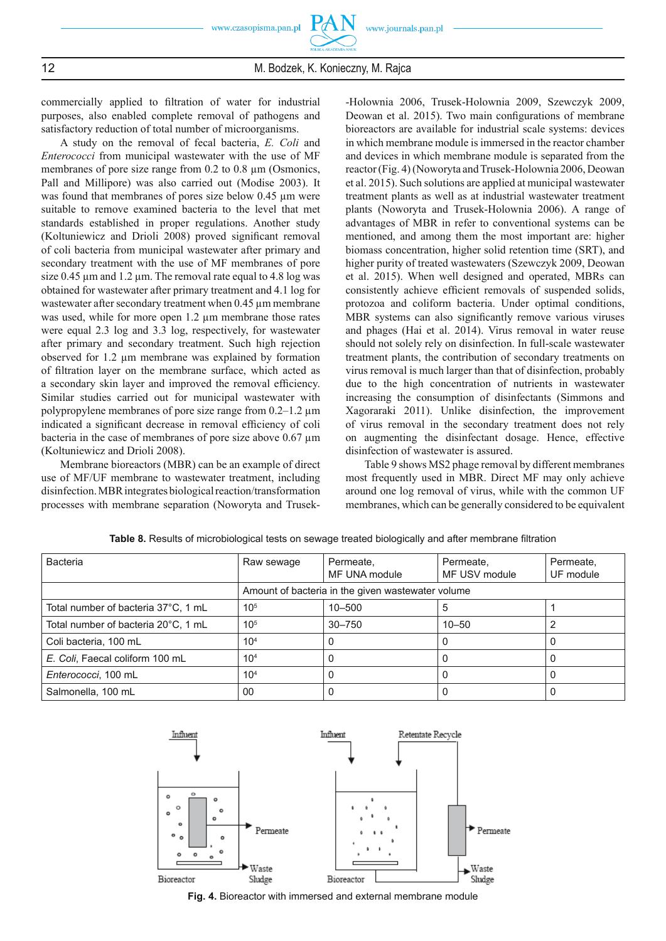commercially applied to filtration of water for industrial purposes, also enabled complete removal of pathogens and satisfactory reduction of total number of microorganisms.

A study on the removal of fecal bacteria, *E. Coli* and *Enterococci* from municipal wastewater with the use of MF membranes of pore size range from 0.2 to 0.8 um (Osmonics, Pall and Millipore) was also carried out (Modise 2003). It was found that membranes of pores size below 0.45 μm were suitable to remove examined bacteria to the level that met standards established in proper regulations. Another study (Koltuniewicz and Drioli 2008) proved significant removal of coli bacteria from municipal wastewater after primary and secondary treatment with the use of MF membranes of pore size 0.45 μm and 1.2 μm. The removal rate equal to 4.8 log was obtained for wastewater after primary treatment and 4.1 log for wastewater after secondary treatment when 0.45 μm membrane was used, while for more open 1.2 μm membrane those rates were equal 2.3 log and 3.3 log, respectively, for wastewater after primary and secondary treatment. Such high rejection observed for 1.2 μm membrane was explained by formation of filtration layer on the membrane surface, which acted as a secondary skin layer and improved the removal efficiency. Similar studies carried out for municipal wastewater with polypropylene membranes of pore size range from 0.2–1.2 μm indicated a significant decrease in removal efficiency of coli bacteria in the case of membranes of pore size above 0.67 μm (Koltuniewicz and Drioli 2008).

Membrane bioreactors (MBR) can be an example of direct use of MF/UF membrane to wastewater treatment, including disinfection. MBR integrates biological reaction/transformation processes with membrane separation (Noworyta and Trusek-

-Holownia 2006, Trusek-Holownia 2009, Szewczyk 2009, Deowan et al. 2015). Two main configurations of membrane bioreactors are available for industrial scale systems: devices in which membrane module is immersed in the reactor chamber and devices in which membrane module is separated from the reactor (Fig. 4) (Noworyta and Trusek-Holownia 2006, Deowan et al. 2015). Such solutions are applied at municipal wastewater treatment plants as well as at industrial wastewater treatment plants (Noworyta and Trusek-Holownia 2006). A range of advantages of MBR in refer to conventional systems can be mentioned, and among them the most important are: higher biomass concentration, higher solid retention time (SRT), and higher purity of treated wastewaters (Szewczyk 2009, Deowan et al. 2015). When well designed and operated, MBRs can consistently achieve efficient removals of suspended solids, protozoa and coliform bacteria. Under optimal conditions, MBR systems can also significantly remove various viruses and phages (Hai et al. 2014). Virus removal in water reuse should not solely rely on disinfection. In full-scale wastewater treatment plants, the contribution of secondary treatments on virus removal is much larger than that of disinfection, probably due to the high concentration of nutrients in wastewater increasing the consumption of disinfectants (Simmons and Xagoraraki 2011). Unlike disinfection, the improvement of virus removal in the secondary treatment does not rely on augmenting the disinfectant dosage. Hence, effective disinfection of wastewater is assured.

Table 9 shows MS2 phage removal by different membranes most frequently used in MBR. Direct MF may only achieve around one log removal of virus, while with the common UF membranes, which can be generally considered to be equivalent

| <b>Bacteria</b>                     | Raw sewage                                        | Permeate,<br>MF UNA module | Permeate,<br>MF USV module | Permeate,<br>UF module |  |
|-------------------------------------|---------------------------------------------------|----------------------------|----------------------------|------------------------|--|
|                                     | Amount of bacteria in the given wastewater volume |                            |                            |                        |  |
| Total number of bacteria 37°C, 1 mL | $10^{5}$                                          | $10 - 500$                 | 5                          |                        |  |
| Total number of bacteria 20°C, 1 mL | $10^{5}$                                          | $30 - 750$                 | $10 - 50$                  |                        |  |
| Coli bacteria, 100 mL               | 10 <sup>4</sup>                                   |                            |                            |                        |  |
| E. Coli, Faecal coliform 100 mL     | 10 <sup>4</sup>                                   | O                          |                            | O)                     |  |
| Enterococci, 100 mL                 | 10 <sup>4</sup>                                   |                            | O                          | 0                      |  |
| Salmonella, 100 mL                  | 00                                                |                            |                            |                        |  |

Table 8. Results of microbiological tests on sewage treated biologically and after membrane filtration



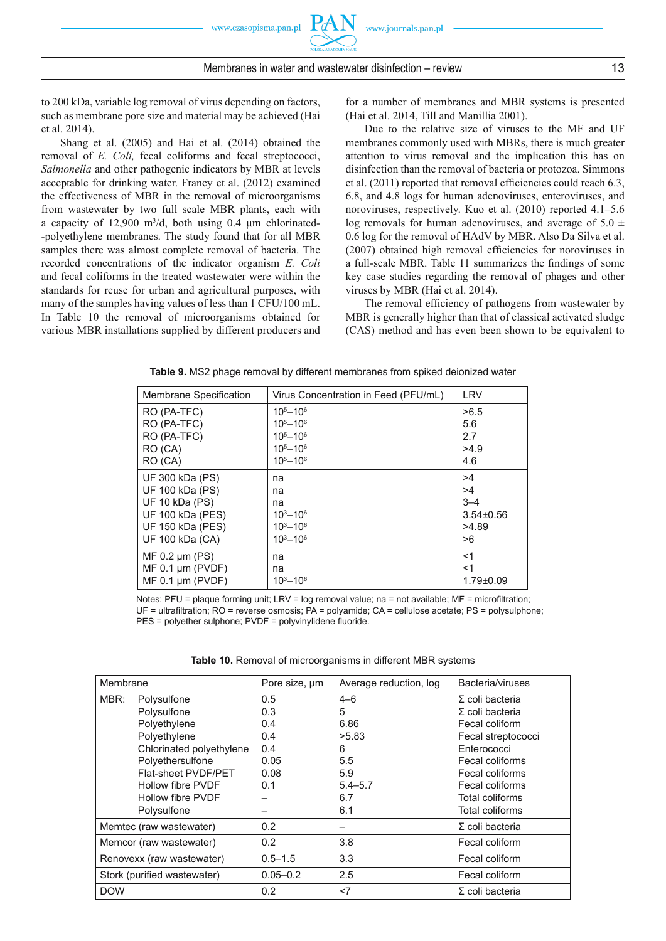to 200 kDa, variable log removal of virus depending on factors, such as membrane pore size and material may be achieved (Hai et al. 2014).

Shang et al. (2005) and Hai et al. (2014) obtained the removal of *E. Coli,* fecal coliforms and fecal streptococci, *Salmonella* and other pathogenic indicators by MBR at levels acceptable for drinking water. Francy et al. (2012) examined the effectiveness of MBR in the removal of microorganisms from wastewater by two full scale MBR plants, each with a capacity of  $12,900$  m<sup>3</sup>/d, both using 0.4  $\mu$ m chlorinated--polyethylene membranes. The study found that for all MBR samples there was almost complete removal of bacteria. The recorded concentrations of the indicator organism *E. Coli*  and fecal coliforms in the treated wastewater were within the standards for reuse for urban and agricultural purposes, with many of the samples having values of less than 1 CFU/100 mL. In Table 10 the removal of microorganisms obtained for various MBR installations supplied by different producers and for a number of membranes and MBR systems is presented (Hai et al. 2014, Till and Manillia 2001).

Due to the relative size of viruses to the MF and UF membranes commonly used with MBRs, there is much greater attention to virus removal and the implication this has on disinfection than the removal of bacteria or protozoa. Simmons et al. (2011) reported that removal efficiencies could reach 6.3, 6.8, and 4.8 logs for human adenoviruses, enteroviruses, and noroviruses, respectively. Kuo et al. (2010) reported 4.1–5.6 log removals for human adenoviruses, and average of  $5.0 \pm$ 0.6 log for the removal of HAdV by MBR. Also Da Silva et al.  $(2007)$  obtained high removal efficiencies for noroviruses in a full-scale MBR. Table 11 summarizes the findings of some key case studies regarding the removal of phages and other viruses by MBR (Hai et al. 2014).

The removal efficiency of pathogens from wastewater by MBR is generally higher than that of classical activated sludge (CAS) method and has even been shown to be equivalent to

| Membrane Specification | Virus Concentration in Feed (PFU/mL) | <b>LRV</b>      |
|------------------------|--------------------------------------|-----------------|
| RO (PA-TFC)            | $105 - 106$                          | >6.5            |
| RO (PA-TFC)            | $105 - 106$                          | 5.6             |
| RO (PA-TFC)            | $105 - 106$                          | 2.7             |
| RO (CA)                | $105 - 106$                          | >4.9            |
| RO (CA)                | $105 - 106$                          | 4.6             |
| UF 300 kDa (PS)        | na                                   | >4              |
| UF 100 kDa (PS)        | na                                   | >4              |
| UF 10 kDa (PS)         | na                                   | $3 - 4$         |
| UF 100 kDa (PES)       | $10^{3} - 10^{6}$                    | $3.54 \pm 0.56$ |
| UF 150 kDa (PES)       | $10^{3} - 10^{6}$                    | >4.89           |
| UF 100 kDa (CA)        | $10^{3} - 10^{6}$                    | >6              |
| $MF$ 0.2 $µm$ (PS)     | na                                   | $<$ 1           |
| $MF 0.1 \mu m (PVDF)$  | na                                   | $<$ 1           |
| $MF 0.1 \mu m (PVDF)$  | $10^{3} - 10^{6}$                    | $1.79 \pm 0.09$ |

**Table 9.** MS2 phage removal by different membranes from spiked deionized water

Notes: PFU = plaque forming unit; LRV = log removal value; na = not available;  $MF =$  microfiltration;  $UF =$  ultrafiltration; RO = reverse osmosis; PA = polyamide; CA = cellulose acetate; PS = polysulphone; PES = polyether sulphone; PVDF = polyvinylidene fluoride.

| Table 10. Removal of microorganisms in different MBR systems |
|--------------------------------------------------------------|
|--------------------------------------------------------------|

| Membrane   |                             | Pore size, um | Average reduction, log | Bacteria/viruses                                 |
|------------|-----------------------------|---------------|------------------------|--------------------------------------------------|
| MBR:       | Polysulfone<br>Polysulfone  | 0.5<br>0.3    | $4 - 6$<br>5           | $\Sigma$ coli bacteria<br>$\Sigma$ coli bacteria |
|            | Polyethylene                | 0.4           | 6.86                   | Fecal coliform                                   |
|            | Polyethylene                | 0.4           | >5.83                  | Fecal streptococci                               |
|            | Chlorinated polyethylene    | 0.4           | 6                      | Enterococci                                      |
|            | Polyethersulfone            | 0.05          | 5.5                    | Fecal coliforms                                  |
|            | Flat-sheet PVDF/PET         | 0.08          | 5.9                    | Fecal coliforms                                  |
|            | Hollow fibre PVDF           | 0.1           | $5.4 - 5.7$            | Fecal coliforms                                  |
|            | Hollow fibre PVDF           |               | 6.7                    | Total coliforms                                  |
|            | Polysulfone                 |               | 6.1                    | <b>Total coliforms</b>                           |
|            | Memtec (raw wastewater)     | 0.2           |                        | $\Sigma$ coli bacteria                           |
|            | Memcor (raw wastewater)     | 0.2           | 3.8                    | Fecal coliform                                   |
|            | Renovexx (raw wastewater)   | $0.5 - 1.5$   | 3.3                    | Fecal coliform                                   |
|            | Stork (purified wastewater) | $0.05 - 0.2$  | 2.5                    | Fecal coliform                                   |
| <b>DOW</b> |                             | 0.2           | $<$ 7                  | $\Sigma$ coli bacteria                           |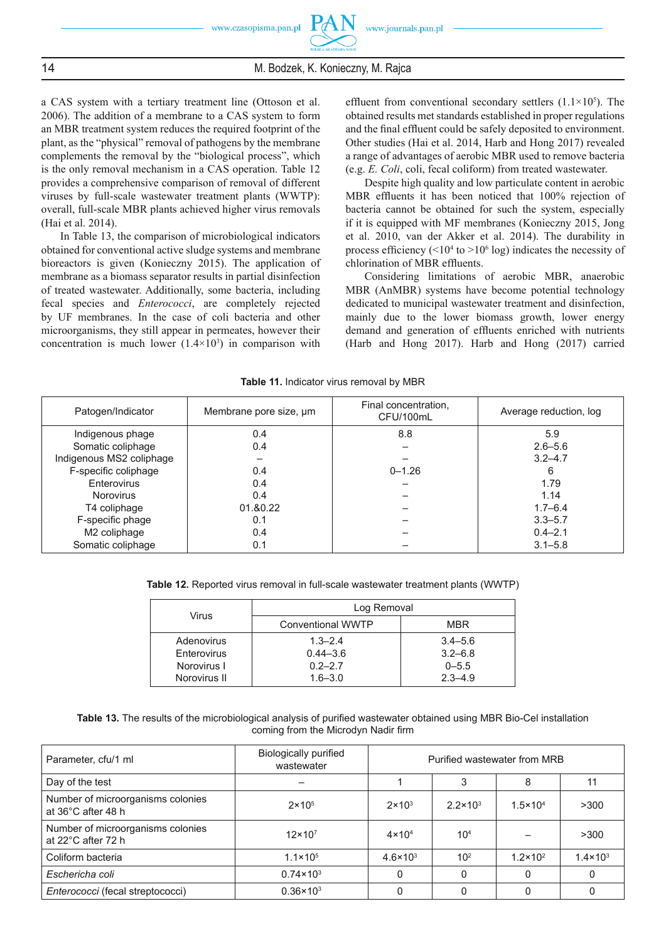a CAS system with a tertiary treatment line (Ottoson et al. 2006). The addition of a membrane to a CAS system to form an MBR treatment system reduces the required footprint of the plant, as the "physical" removal of pathogens by the membrane complements the removal by the "biological process", which is the only removal mechanism in a CAS operation. Table 12 provides a comprehensive comparison of removal of different viruses by full-scale wastewater treatment plants (WWTP): overall, full-scale MBR plants achieved higher virus removals (Hai et al. 2014).

In Table 13, the comparison of microbiological indicators obtained for conventional active sludge systems and membrane bioreactors is given (Konieczny 2015). The application of membrane as a biomass separator results in partial disinfection of treated wastewater. Additionally, some bacteria, including fecal species and *Enterococci*, are completely rejected by UF membranes. In the case of coli bacteria and other microorganisms, they still appear in permeates, however their concentration is much lower  $(1.4 \times 10^3)$  in comparison with

effluent from conventional secondary settlers  $(1.1 \times 10^5)$ . The obtained results met standards established in proper regulations and the final effluent could be safely deposited to environment. Other studies (Hai et al. 2014, Harb and Hong 2017) revealed a range of advantages of aerobic MBR used to remove bacteria (e.g. *E. Coli*, coli, fecal coliform) from treated wastewater.

Despite high quality and low particulate content in aerobic MBR effluents it has been noticed that 100% rejection of bacteria cannot be obtained for such the system, especially if it is equipped with MF membranes (Konieczny 2015, Jong et al. 2010, van der Akker et al. 2014). The durability in process efficiency ( $\leq 10^4$  to  $> 10^6$  log) indicates the necessity of chlorination of MBR effluents.

Considering limitations of aerobic MBR, anaerobic MBR (AnMBR) systems have become potential technology dedicated to municipal wastewater treatment and disinfection, mainly due to the lower biomass growth, lower energy demand and generation of effluents enriched with nutrients (Harb and Hong 2017). Harb and Hong (2017) carried

| Patogen/Indicator        | Membrane pore size, um | Final concentration,<br>CFU/100mL | Average reduction, log |
|--------------------------|------------------------|-----------------------------------|------------------------|
| Indigenous phage         | 0.4                    | 8.8                               | 5.9                    |
| Somatic coliphage        | 0.4                    |                                   | $2.6 - 5.6$            |
| Indigenous MS2 coliphage |                        |                                   | $3.2 - 4.7$            |
| F-specific coliphage     | 0.4                    | $0 - 1.26$                        | 6                      |
| Enterovirus              | 0.4                    |                                   | 1.79                   |
| <b>Norovirus</b>         | 0.4                    |                                   | 1.14                   |
| T4 coliphage             | 01.&0.22               |                                   | $1.7 - 6.4$            |
| F-specific phage         | 0.1                    |                                   | $3.3 - 5.7$            |
| M2 coliphage             | 0.4                    |                                   | $0.4 - 2.1$            |
| Somatic coliphage        | 0.1                    |                                   | $3.1 - 5.8$            |

**Table 11.** Indicator virus removal by MBR

**Table 12.** Reported virus removal in full-scale wastewater treatment plants (WWTP)

| Virus        | Log Removal       |             |  |  |
|--------------|-------------------|-------------|--|--|
|              | Conventional WWTP | <b>MBR</b>  |  |  |
| Adenovirus   | $1.3 - 2.4$       | $3.4 - 5.6$ |  |  |
| Enterovirus  | $0.44 - 3.6$      | $3.2 - 6.8$ |  |  |
| Norovirus I  | $0.2 - 2.7$       | $0 - 5.5$   |  |  |
| Norovirus II | $1.6 - 3.0$       | $2.3 - 4.9$ |  |  |

**Table 13.** The results of the microbiological analysis of purified wastewater obtained using MBR Bio-Cel installation coming from the Microdyn Nadir firm

| Parameter, cfu/1 ml                                     | <b>Biologically purified</b><br>wastewater | Purified wastewater from MRB |                   |                     |                     |
|---------------------------------------------------------|--------------------------------------------|------------------------------|-------------------|---------------------|---------------------|
| Day of the test                                         |                                            |                              | 3                 | 8                   |                     |
| Number of microorganisms colonies<br>at 36°C after 48 h | $2 \times 10^5$                            | $2 \times 10^3$              | $2.2 \times 10^3$ | $1.5 \times 10^{4}$ | >300                |
| Number of microorganisms colonies<br>at 22°C after 72 h | $12\times10^7$                             | $4 \times 104$               | 10 <sup>4</sup>   |                     | >300                |
| Coliform bacteria                                       | $1.1 \times 10^{5}$                        | $4.6 \times 10^{3}$          | 10 <sup>2</sup>   | $1.2 \times 10^{2}$ | $1.4 \times 10^{3}$ |
| Eschericha coli                                         | $0.74 \times 10^3$                         |                              | 0                 |                     |                     |
| Enterococci (fecal streptococci)                        | $0.36 \times 10^{3}$                       |                              |                   |                     |                     |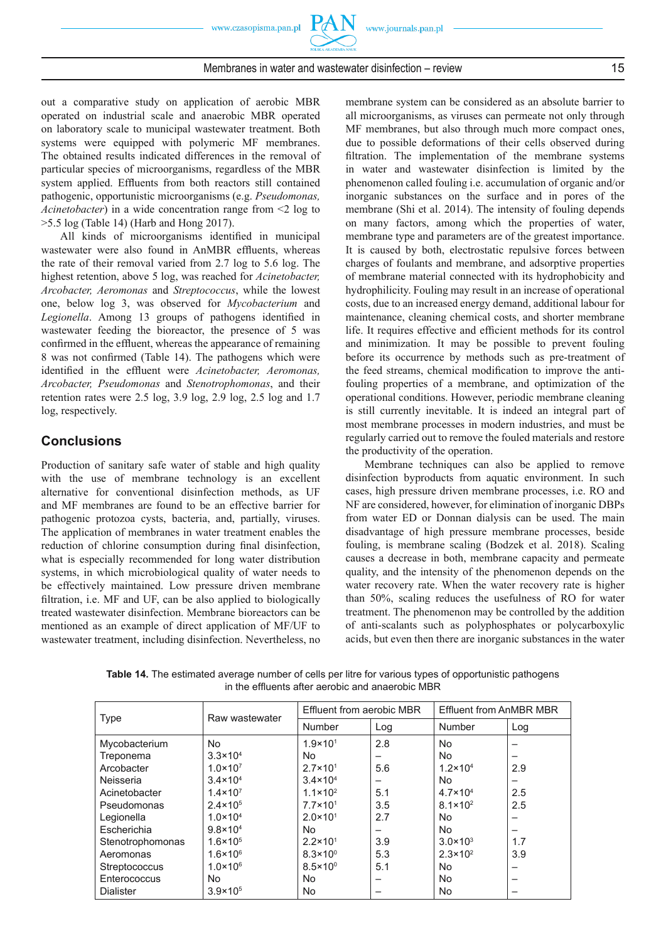out a comparative study on application of aerobic MBR operated on industrial scale and anaerobic MBR operated on laboratory scale to municipal wastewater treatment. Both systems were equipped with polymeric MF membranes. The obtained results indicated differences in the removal of particular species of microorganisms, regardless of the MBR system applied. Effluents from both reactors still contained pathogenic, opportunistic microorganisms (e.g. *Pseudomonas, Acinetobacter*) in a wide concentration range from  $\leq 2$  log to >5.5 log (Table 14) (Harb and Hong 2017).

All kinds of microorganisms identified in municipal wastewater were also found in AnMBR effluents, whereas the rate of their removal varied from 2.7 log to 5.6 log. The highest retention, above 5 log, was reached for *Acinetobacter, Arcobacter, Aeromonas* and *Streptococcus*, while the lowest one, below log 3, was observed for *Mycobacterium* and Legionella. Among 13 groups of pathogens identified in wastewater feeding the bioreactor, the presence of 5 was confirmed in the effluent, whereas the appearance of remaining 8 was not confirmed (Table 14). The pathogens which were identified in the effluent were *Acinetobacter*, *Aeromonas*, *Arcobacter, Pseudomonas* and *Stenotrophomonas*, and their retention rates were 2.5 log, 3.9 log, 2.9 log, 2.5 log and 1.7 log, respectively.

# **Conclusions**

Production of sanitary safe water of stable and high quality with the use of membrane technology is an excellent alternative for conventional disinfection methods, as UF and MF membranes are found to be an effective barrier for pathogenic protozoa cysts, bacteria, and, partially, viruses. The application of membranes in water treatment enables the reduction of chlorine consumption during final disinfection, what is especially recommended for long water distribution systems, in which microbiological quality of water needs to be effectively maintained. Low pressure driven membrane filtration, i.e. MF and UF, can be also applied to biologically treated wastewater disinfection. Membrane bioreactors can be mentioned as an example of direct application of MF/UF to wastewater treatment, including disinfection. Nevertheless, no

membrane system can be considered as an absolute barrier to all microorganisms, as viruses can permeate not only through MF membranes, but also through much more compact ones, due to possible deformations of their cells observed during filtration. The implementation of the membrane systems in water and wastewater disinfection is limited by the phenomenon called fouling i.e. accumulation of organic and/or inorganic substances on the surface and in pores of the membrane (Shi et al. 2014). The intensity of fouling depends on many factors, among which the properties of water, membrane type and parameters are of the greatest importance. It is caused by both, electrostatic repulsive forces between charges of foulants and membrane, and adsorptive properties of membrane material connected with its hydrophobicity and hydrophilicity. Fouling may result in an increase of operational costs, due to an increased energy demand, additional labour for maintenance, cleaning chemical costs, and shorter membrane life. It requires effective and efficient methods for its control and minimization. It may be possible to prevent fouling before its occurrence by methods such as pre-treatment of the feed streams, chemical modification to improve the antifouling properties of a membrane, and optimization of the operational conditions. However, periodic membrane cleaning is still currently inevitable. It is indeed an integral part of most membrane processes in modern industries, and must be regularly carried out to remove the fouled materials and restore the productivity of the operation.

Membrane techniques can also be applied to remove disinfection byproducts from aquatic environment. In such cases, high pressure driven membrane processes, i.e. RO and NF are considered, however, for elimination of inorganic DBPs from water ED or Donnan dialysis can be used. The main disadvantage of high pressure membrane processes, beside fouling, is membrane scaling (Bodzek et al. 2018). Scaling causes a decrease in both, membrane capacity and permeate quality, and the intensity of the phenomenon depends on the water recovery rate. When the water recovery rate is higher than 50%, scaling reduces the usefulness of RO for water treatment. The phenomenon may be controlled by the addition of anti-scalants such as polyphosphates or polycarboxylic acids, but even then there are inorganic substances in the water

| <b>Type</b>      | Raw wastewater      | Effluent from aerobic MBR |     | Effluent from AnMBR MBR |     |
|------------------|---------------------|---------------------------|-----|-------------------------|-----|
|                  |                     | <b>Number</b>             | Log | Number                  | Log |
| Mycobacterium    | No.                 | $1.9 \times 10^{1}$       | 2.8 | <b>No</b>               |     |
| Treponema        | $3.3 \times 10^{4}$ | No.                       | -   | <b>No</b>               |     |
| Arcobacter       | $1.0 \times 10^{7}$ | $2.7 \times 10^{1}$       | 5.6 | $1.2 \times 10^{4}$     | 2.9 |
| Neisseria        | $3.4 \times 10^{4}$ | $3.4 \times 10^{4}$       | -   | <b>No</b>               |     |
| Acinetobacter    | $1.4 \times 10^{7}$ | $1.1 \times 10^{2}$       | 5.1 | $4.7 \times 10^{4}$     | 2.5 |
| Pseudomonas      | $2.4 \times 10^{5}$ | $7.7 \times 10^{1}$       | 3.5 | $8.1 \times 10^{2}$     | 2.5 |
| Legionella       | $1.0 \times 10^{4}$ | $2.0 \times 10^{1}$       | 2.7 | <b>No</b>               | -   |
| Escherichia      | $9.8 \times 10^{4}$ | No.                       |     | <b>No</b>               |     |
| Stenotrophomonas | $1.6 \times 10^{5}$ | $2.2 \times 10^{1}$       | 3.9 | $3.0 \times 10^{3}$     | 1.7 |
| Aeromonas        | $1.6 \times 10^{6}$ | $8.3 \times 10^{0}$       | 5.3 | $2.3 \times 10^{2}$     | 3.9 |
| Streptococcus    | $1.0 \times 10^{6}$ | $8.5 \times 10^{0}$       | 5.1 | <b>No</b>               |     |
| Enterococcus     | No                  | No.                       | –   | <b>No</b>               |     |
| <b>Dialister</b> | $3.9 \times 10^{5}$ | No.                       |     | <b>No</b>               |     |

**Table 14.** The estimated average number of cells per litre for various types of opportunistic pathogens in the effluents after aerobic and anaerobic MBR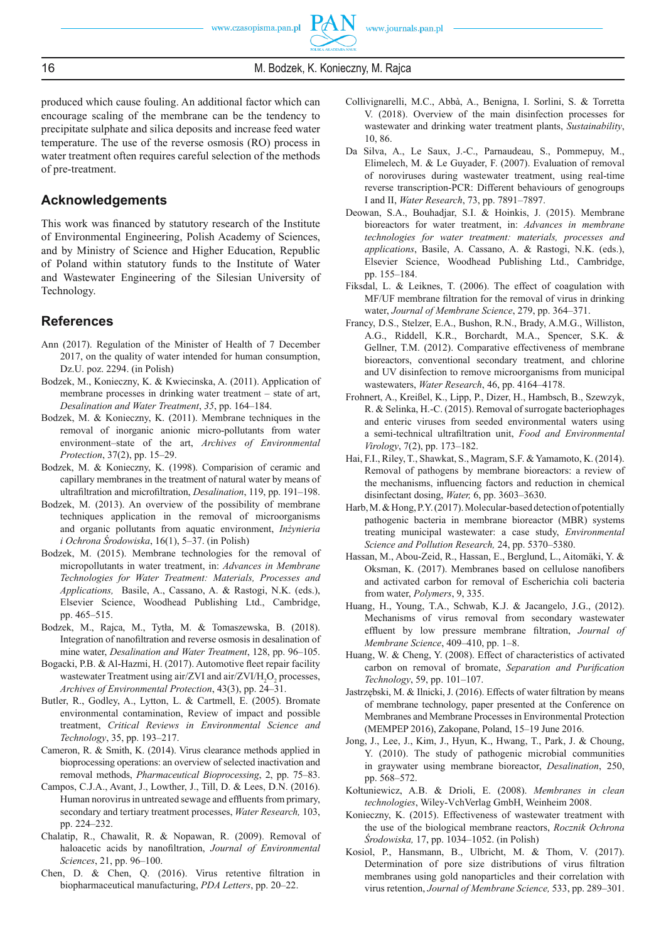produced which cause fouling. An additional factor which can encourage scaling of the membrane can be the tendency to precipitate sulphate and silica deposits and increase feed water temperature. The use of the reverse osmosis (RO) process in water treatment often requires careful selection of the methods of pre-treatment.

# **Acknowledgements**

This work was financed by statutory research of the Institute of Environmental Engineering, Polish Academy of Sciences, and by Ministry of Science and Higher Education, Republic of Poland within statutory funds to the Institute of Water and Wastewater Engineering of the Silesian University of Technology.

# **References**

- Ann (2017). Regulation of the Minister of Health of 7 December 2017, on the quality of water intended for human consumption, Dz.U. poz. 2294. (in Polish)
- Bodzek, M., Konieczny, K. & Kwiecinska, A. (2011). Application of membrane processes in drinking water treatment – state of art, *Desalination and Water Treatment*, *35*, pp. 164–184.
- Bodzek, M. & Konieczny, K. (2011). Membrane techniques in the removal of inorganic anionic micro-pollutants from water environment–state of the art, *Archives of Environmental Protection*, 37(2), pp. 15–29.
- Bodzek, M. & Konieczny, K. (1998). Comparision of ceramic and capillary membranes in the treatment of natural water by means of ultrafiltration and microfiltration, *Desalination*, 119, pp. 191-198.
- Bodzek, M. (2013). An overview of the possibility of membrane techniques application in the removal of microorganisms and organic pollutants from aquatic environment, *Inżynieria i Ochrona Środowiska*, 16(1), 5–37. (in Polish)
- Bodzek, M. (2015). Membrane technologies for the removal of micropollutants in water treatment, in: *Advances in Membrane Technologies for Water Treatment: Materials, Processes and Applications,* Basile, A., Cassano, A. & Rastogi, N.K. (eds.), Elsevier Science, Woodhead Publishing Ltd., Cambridge, pp. 465–515.
- Bodzek, M., Rajca, M., Tytła, M. & Tomaszewska, B. (2018). Integration of nanofiltration and reverse osmosis in desalination of mine water, *Desalination and Water Treatment*, 128, pp. 96–105.
- Bogacki, P.B. & Al-Hazmi, H. (2017). Automotive fleet repair facility wastewater Treatment using air/ZVI and air/ZVI/ $H_2O_2$  processes, *Archives of Environmental Protection*, 43(3), pp. 24–31.
- Butler, R., Godley, A., Lytton, L. & Cartmell, E. (2005). Bromate environmental contamination, Review of impact and possible treatment, *Critical Reviews in Environmental Science and Technology*, 35, pp. 193–217.
- Cameron, R. & Smith, K. (2014). Virus clearance methods applied in bioprocessing operations: an overview of selected inactivation and removal methods, *Pharmaceutical Bioprocessing*, 2, pp. 75–83.
- Campos, C.J.A., Avant, J., Lowther, J., Till, D. & Lees, D.N. (2016). Human norovirus in untreated sewage and effluents from primary, secondary and tertiary treatment processes, *Water Research,* 103, pp. 224–232.
- Chalatip, R., Chawalit, R. & Nopawan, R. (2009). Removal of haloacetic acids by nanofiltration, *Journal of Environmental Sciences*, 21, pp. 96–100.
- Chen, D. & Chen, Q. (2016). Virus retentive filtration in biopharmaceutical manufacturing, *PDA Letters*, pp. 20–22.
- Collivignarelli, M.C., Abbà, A., Benigna, I. Sorlini, S. & Torretta V. (2018). Overview of the main disinfection processes for wastewater and drinking water treatment plants, *Sustainability*, 10, 86.
- Da Silva, A., Le Saux, J.-C., Parnaudeau, S., Pommepuy, M., Elimelech, M. & Le Guyader, F. (2007). Evaluation of removal of noroviruses during wastewater treatment, using real-time reverse transcription-PCR: Different behaviours of genogroups I and II, *Water Research*, 73, pp. 7891–7897.
- Deowan, S.A., Bouhadjar, S.I. & Hoinkis, J. (2015). Membrane bioreactors for water treatment, in: *Advances in membrane technologies for water treatment: materials, processes and applications*, Basile, A. Cassano, A. & Rastogi, N.K. (eds.), Elsevier Science, Woodhead Publishing Ltd., Cambridge, pp. 155–184.
- Fiksdal, L. & Leiknes, T. (2006). The effect of coagulation with MF/UF membrane filtration for the removal of virus in drinking water, *Journal of Membrane Science*, 279, pp. 364–371.
- Francy, D.S., Stelzer, E.A., Bushon, R.N., Brady, A.M.G., Williston, A.G., Riddell, K.R., Borchardt, M.A., Spencer, S.K. & Gellner, T.M. (2012). Comparative effectiveness of membrane bioreactors, conventional secondary treatment, and chlorine and UV disinfection to remove microorganisms from municipal wastewaters, *Water Research*, 46, pp. 4164–4178.
- Frohnert, A., Kreißel, K., Lipp, P., Dizer, H., Hambsch, B., Szewzyk, R. & Selinka, H.-C. (2015). Removal of surrogate bacteriophages and enteric viruses from seeded environmental waters using a semi-technical ultrafiltration unit, Food and Environmental *Virology*, 7(2), pp. 173–182.
- Hai, F.I., Riley, T., Shawkat, S., Magram, S.F. & Yamamoto, K. (2014). Removal of pathogens by membrane bioreactors: a review of the mechanisms, influencing factors and reduction in chemical disinfectant dosing, *Water,* 6, pp. 3603–3630.
- Harb, M. & Hong, P.Y. (2017). Molecular-based detection of potentially pathogenic bacteria in membrane bioreactor (MBR) systems treating municipal wastewater: a case study, *Environmental Science and Pollution Research,* 24, pp. 5370–5380.
- Hassan, M., Abou-Zeid, R., Hassan, E., Berglund, L., Aitomäki, Y. & Oksman, K. (2017). Membranes based on cellulose nanofibers and activated carbon for removal of Escherichia coli bacteria from water, *Polymers*, 9, 335.
- Huang, H., Young, T.A., Schwab, K.J. & Jacangelo, J.G., (2012). Mechanisms of virus removal from secondary wastewater effluent by low pressure membrane filtration, *Journal of Membrane Science*, 409–410, pp. 1–8.
- Huang, W. & Cheng, Y. (2008). Effect of characteristics of activated carbon on removal of bromate, *Separation and Purification Technology*, 59, pp. 101–107.
- Jastrzębski, M. & Ilnicki, J. (2016). Effects of water filtration by means of membrane technology, paper presented at the Conference on Membranes and Membrane Processes in Environmental Protection (MEMPEP 2016), Zakopane, Poland, 15–19 June 2016.
- Jong, J., Lee, J., Kim, J., Hyun, K., Hwang, T., Park, J. & Choung, Y. (2010). The study of pathogenic microbial communities in graywater using membrane bioreactor, *Desalination*, 250, pp. 568–572.
- Kołtuniewicz, A.B. & Drioli, E. (2008). *Membranes in clean technologies*, Wiley-VchVerlag GmbH, Weinheim 2008.
- Konieczny, K. (2015). Effectiveness of wastewater treatment with the use of the biological membrane reactors, *Rocznik Ochrona Środowiska,* 17, pp. 1034–1052. (in Polish)
- Kosiol, P., Hansmann, B., Ulbricht, M. & Thom, V. (2017). Determination of pore size distributions of virus filtration membranes using gold nanoparticles and their correlation with virus retention, *Journal of Membrane Science,* 533, pp. 289–301.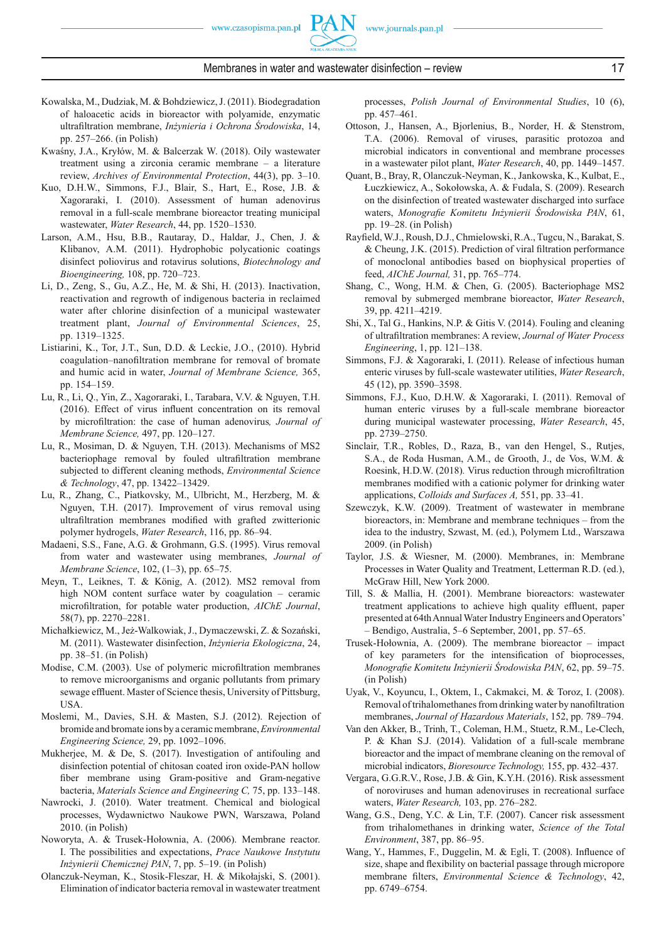

- Kowalska, M., Dudziak, M. & Bohdziewicz, J. (2011). Biodegradation of haloacetic acids in bioreactor with polyamide, enzymatic ultrafi ltration membrane, *Inżynieria i Ochrona Środowiska*, 14, pp. 257–266. (in Polish)
- Kwaśny, J.A., Kryłów, M. & Balcerzak W. (2018). Oily wastewater treatment using a zirconia ceramic membrane – a literature review, *Archives of Environmental Protection*, 44(3), pp. 3–10.
- Kuo, D.H.W., Simmons, F.J., Blair, S., Hart, E., Rose, J.B. & Xagoraraki, I. (2010). Assessment of human adenovirus removal in a full-scale membrane bioreactor treating municipal wastewater, *Water Research*, 44, pp. 1520–1530.
- Larson, A.M., Hsu, B.B., Rautaray, D., Haldar, J., Chen, J. & Klibanov, A.M. (2011). Hydrophobic polycationic coatings disinfect poliovirus and rotavirus solutions, *Biotechnology and Bioengineering,* 108, pp. 720–723.
- Li, D., Zeng, S., Gu, A.Z., He, M. & Shi, H. (2013). Inactivation, reactivation and regrowth of indigenous bacteria in reclaimed water after chlorine disinfection of a municipal wastewater treatment plant, *Journal of Environmental Sciences*, 25, pp. 1319–1325.
- Listiarini, K., Tor, J.T., Sun, D.D. & Leckie, J.O., (2010). Hybrid coagulation–nanofiltration membrane for removal of bromate and humic acid in water, *Journal of Membrane Science,* 365, pp. 154–159.
- Lu, R., Li, Q., Yin, Z., Xagoraraki, I., Tarabara, V.V. & Nguyen, T.H.  $(2016)$ . Effect of virus influent concentration on its removal by microfiltration: the case of human adenovirus, Journal of *Membrane Science,* 497, pp. 120–127.
- Lu, R., Mosiman, D. & Nguyen, T.H. (2013). Mechanisms of MS2 bacteriophage removal by fouled ultrafiltration membrane subjected to different cleaning methods , *Environmental Science & Technology*, 47, pp. 13422–13429.
- Lu, R., Zhang, C., Piatkovsky, M., Ulbricht, M., Herzberg, M. & Nguyen, T.H. (2017). Improvement of virus removal using ultrafiltration membranes modified with grafted zwitterionic polymer hydrogels, *Water Research*, 116, pp. 86–94.
- Madaeni, S.S., Fane, A.G. & Grohmann, G.S. (1995). Virus removal from water and wastewater using membranes, *Journal of Membrane Science*, 102, (1–3), pp. 65–75.
- Meyn, T., Leiknes, T. & König, A. (2012). MS2 removal from high NOM content surface water by coagulation – ceramic microfiltration, for potable water production, *AIChE Journal*, 58(7), pp. 2270–2281.
- Michałkiewicz, M., Jeż-Walkowiak, J., Dymaczewski, Z. & Sozański, M. (2011). Wastewater disinfection, *Inżynieria Ekologiczna*, 24, pp. 38–51. (in Polish)
- Modise, C.M. (2003). Use of polymeric microfiltration membranes to remove microorganisms and organic pollutants from primary sewage effluent. Master of Science thesis, University of Pittsburg, USA.
- Moslemi, M., Davies, S.H. & Masten, S.J. (2012). Rejection of bromide and bromate ions by a ceramic membrane, *Environmental Engineering Science,* 29, pp. 1092–1096.
- Mukherjee, M. & De, S. (2017). Investigation of antifouling and disinfection potential of chitosan coated iron oxide-PAN hollow fiber membrane using Gram-positive and Gram-negative bacteria, *Materials Science and Engineering C,* 75, pp. 133–148.
- Nawrocki, J. (2010). Water treatment. Chemical and biological processes, Wydawnictwo Naukowe PWN, Warszawa, Poland 2010. (in Polish)
- Noworyta, A. & Trusek-Hołownia, A. (2006). Membrane reactor. I. The possibilities and expectations, *Prace Naukowe Instytutu Inżynierii Chemicznej PAN*, 7, pp. 5–19. (in Polish)
- Olanczuk-Neyman, K., Stosik-Fleszar, H. & Mikołajski, S. (2001). Elimination of indicator bacteria removal in wastewater treatment

processes, *Polish Journal of Environmental Studies*, 10 (6), pp. 457–461.

- Ottoson, J., Hansen, A., Bjorlenius, B., Norder, H. & Stenstrom, T.A. (2006). Removal of viruses, parasitic protozoa and microbial indicators in conventional and membrane processes in a wastewater pilot plant, *Water Research*, 40, pp. 1449–1457.
- Quant, B., Bray, R, Olanczuk-Neyman, K., Jankowska, K., Kulbat, E., Łuczkiewicz, A., Sokołowska, A. & Fudala, S. (2009). Research on the disinfection of treated wastewater discharged into surface waters, *Monografie Komitetu Inżynierii Środowiska PAN*, 61, pp. 19–28. (in Polish)
- Rayfield, W.J., Roush, D.J., Chmielowski, R.A., Tugcu, N., Barakat, S.  $&$  Cheung, J.K. (2015). Prediction of viral filtration performance of monoclonal antibodies based on biophysical properties of feed, *AIChE Journal,* 31, pp. 765–774.
- Shang, C., Wong, H.M. & Chen, G. (2005). Bacteriophage MS2 removal by submerged membrane bioreactor, *Water Research*, 39, pp. 4211–4219.
- Shi, X., Tal G., Hankins, N.P. & Gitis V. (2014). Fouling and cleaning of ultrafi ltration membranes: A review, *Journal of Water Process Engineering*, 1, pp. 121–138.
- Simmons, F.J. & Xagoraraki, I. (2011). Release of infectious human enteric viruses by full-scale wastewater utilities, *Water Research*, 45 (12), pp. 3590–3598.
- Simmons, F.J., Kuo, D.H.W. & Xagoraraki, I. (2011). Removal of human enteric viruses by a full-scale membrane bioreactor during municipal wastewater processing, *Water Research*, 45, pp. 2739–2750.
- Sinclair, T.R., Robles, D., Raza, B., van den Hengel, S., Rutjes, S.A., de Roda Husman, A.M., de Grooth, J., de Vos, W.M. & Roesink, H.D.W. (2018). Virus reduction through microfiltration membranes modified with a cationic polymer for drinking water applications, *Colloids and Surfaces A,* 551, pp. 33–41.
- Szewczyk, K.W. (2009). Treatment of wastewater in membrane bioreactors, in: Membrane and membrane techniques – from the idea to the industry, Szwast, M. (ed.), Polymem Ltd., Warszawa 2009. (in Polish)
- Taylor, J.S. & Wiesner, M. (2000). Membranes, in: Membrane Processes in Water Quality and Treatment, Letterman R.D. (ed.), McGraw Hill, New York 2000.
- Till, S. & Mallia, H. (2001). Membrane bioreactors: wastewater treatment applications to achieve high quality effluent, paper presented at 64th Annual Water Industry Engineers and Operators' – Bendigo, Australia, 5–6 September, 2001, pp. 57–65.
- Trusek-Hołownia, A. (2009). The membrane bioreactor impact of key parameters for the intensification of bioprocesses, *Monografi e Komitetu Inżynierii Środowiska PAN*, 62, pp. 59–75. (in Polish)
- Uyak, V., Koyuncu, I., Oktem, I., Cakmakci, M. & Toroz, I. (2008). Removal of trihalomethanes from drinking water by nanofi ltration membranes, *Journal of Hazardous Materials*, 152, pp. 789–794.
- Van den Akker, B., Trinh, T., Coleman, H.M., Stuetz, R.M., Le-Clech, P. & Khan S.J. (2014). Validation of a full-scale membrane bioreactor and the impact of membrane cleaning on the removal of microbial indicators, *Bioresource Technology,* 155, pp. 432–437.
- Vergara, G.G.R.V., Rose, J.B. & Gin, K.Y.H. (2016). Risk assessment of noroviruses and human adenoviruses in recreational surface waters, *Water Research,* 103, pp. 276–282.
- Wang, G.S., Deng, Y.C. & Lin, T.F. (2007). Cancer risk assessment from trihalomethanes in drinking water, *Science of the Total Environment*, 387, pp. 86–95.
- Wang, Y., Hammes, F., Duggelin, M. & Egli, T. (2008). Influence of size, shape and flexibility on bacterial passage through micropore membrane filters, *Environmental Science & Technology*, 42, pp. 6749–6754.